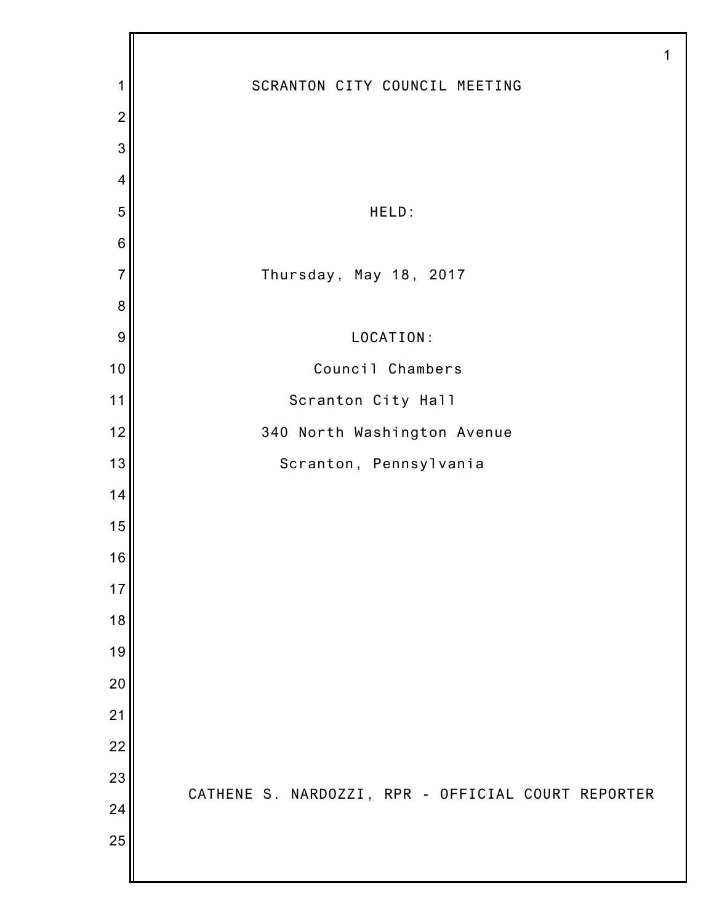|                 | 1                                                  |
|-----------------|----------------------------------------------------|
| 1               | SCRANTON CITY COUNCIL MEETING                      |
| $\overline{2}$  |                                                    |
| 3               |                                                    |
| 4               |                                                    |
| 5               | HELD:                                              |
| $6\phantom{1}6$ |                                                    |
| $\overline{7}$  | Thursday, May 18, 2017                             |
| 8               |                                                    |
| 9               | LOCATION:                                          |
| 10              | Council Chambers                                   |
| 11              | Scranton City Hall                                 |
| 12              | 340 North Washington Avenue                        |
| 13              | Scranton, Pennsylvania                             |
| 14              |                                                    |
| 15              |                                                    |
| 16              |                                                    |
| 17              |                                                    |
| 18              |                                                    |
| 19              |                                                    |
| 20              |                                                    |
| 21              |                                                    |
| 22              |                                                    |
| 23              | CATHENE S. NARDOZZI, RPR - OFFICIAL COURT REPORTER |
| 24              |                                                    |
| 25              |                                                    |
|                 |                                                    |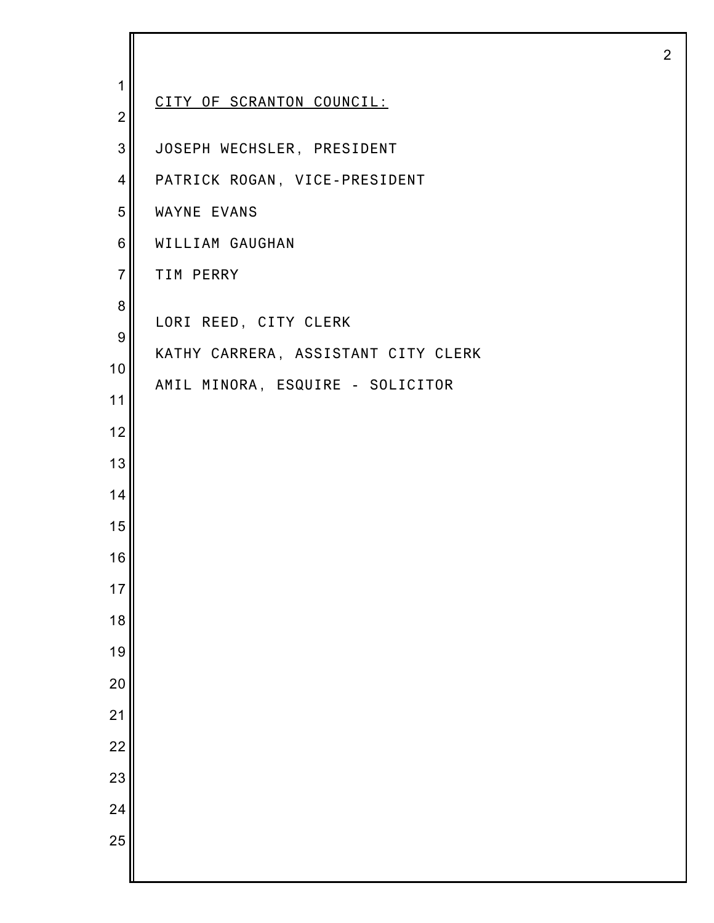| 1                | CITY OF SCRANTON COUNCIL:           |
|------------------|-------------------------------------|
| $\overline{c}$   |                                     |
| 3                | JOSEPH WECHSLER, PRESIDENT          |
| 4                | PATRICK ROGAN, VICE-PRESIDENT       |
| 5                | WAYNE EVANS                         |
| 6                | WILLIAM GAUGHAN                     |
| $\overline{7}$   | TIM PERRY                           |
| 8                | LORI REED, CITY CLERK               |
| $\boldsymbol{9}$ | KATHY CARRERA, ASSISTANT CITY CLERK |
| 10               | AMIL MINORA, ESQUIRE - SOLICITOR    |
| 11               |                                     |
| 12               |                                     |
| 13               |                                     |
| 14               |                                     |
| 15               |                                     |
| 16               |                                     |
| 17               |                                     |
| 18               |                                     |
| 19               |                                     |
| 20               |                                     |
| 21               |                                     |
| 22               |                                     |
| 23               |                                     |
| 24               |                                     |
| 25               |                                     |
|                  |                                     |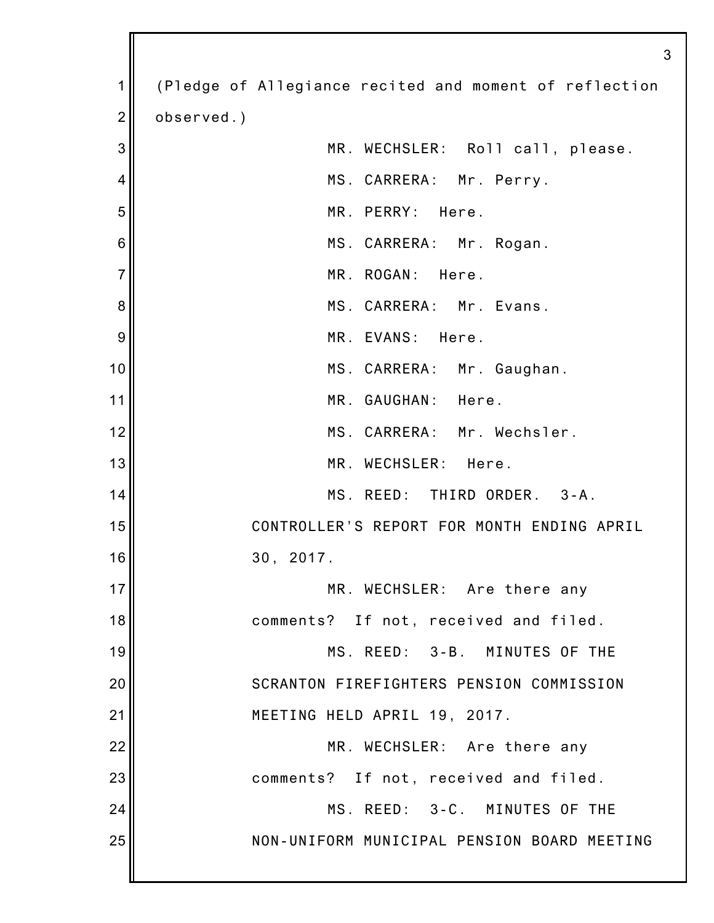| 1              | (Pledge of Allegiance recited and moment of reflection |
|----------------|--------------------------------------------------------|
| $\overline{2}$ | observed.)                                             |
| 3              | MR. WECHSLER: Roll call, please.                       |
| 4              | MS. CARRERA: Mr. Perry.                                |
| 5              | MR. PERRY: Here.                                       |
| 6              | MS. CARRERA: Mr. Rogan.                                |
| $\overline{7}$ | MR. ROGAN: Here.                                       |
| 8              | MS. CARRERA: Mr. Evans.                                |
| 9              | MR. EVANS: Here.                                       |
| 10             | MS. CARRERA: Mr. Gaughan.                              |
| 11             | MR. GAUGHAN: Here.                                     |
| 12             | MS. CARRERA: Mr. Wechsler.                             |
| 13             | MR. WECHSLER: Here.                                    |
| 14             | MS. REED: THIRD ORDER. 3-A.                            |
| 15             | CONTROLLER'S REPORT FOR MONTH ENDING APRIL             |
| 16             | 30, 2017.                                              |
| 17             | MR. WECHSLER: Are there any                            |
| 18             | comments? If not, received and filed.                  |
| 19             | MS. REED: 3-B. MINUTES OF THE                          |
| 20             | SCRANTON FIREFIGHTERS PENSION COMMISSION               |
| 21             | MEETING HELD APRIL 19, 2017.                           |
| 22             | MR. WECHSLER: Are there any                            |
| 23             | comments? If not, received and filed.                  |
| 24             | MS. REED: 3-C. MINUTES OF THE                          |
| 25             | NON-UNIFORM MUNICIPAL PENSION BOARD MEETING            |
|                |                                                        |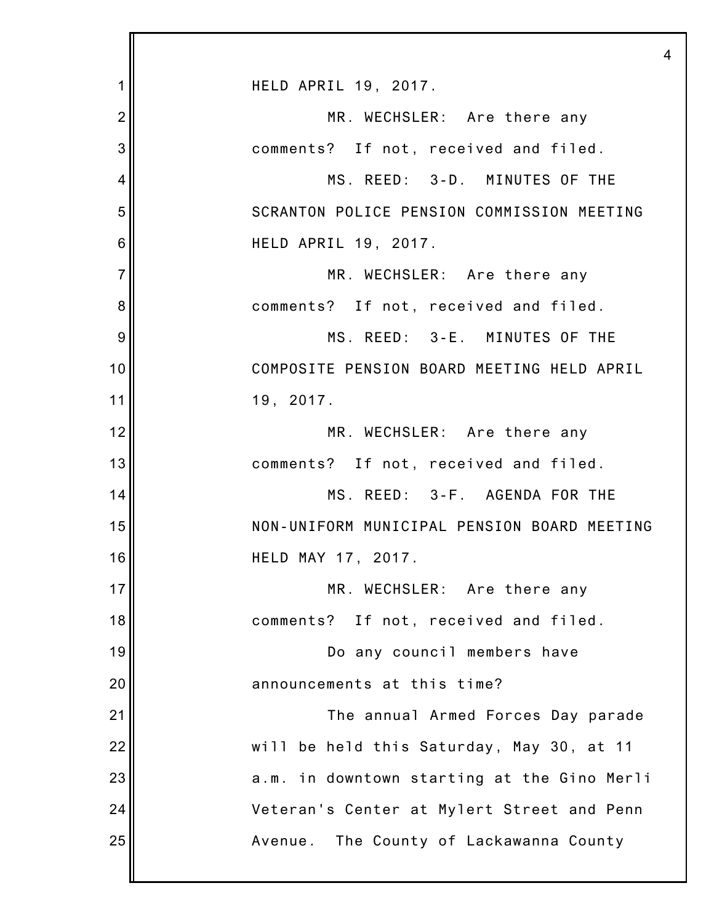|                | $\overline{4}$                              |
|----------------|---------------------------------------------|
| 1              | HELD APRIL 19, 2017.                        |
| $\overline{2}$ | MR. WECHSLER: Are there any                 |
| 3              | comments? If not, received and filed.       |
| 4              | MS. REED: 3-D. MINUTES OF THE               |
| 5              | SCRANTON POLICE PENSION COMMISSION MEETING  |
| 6              | HELD APRIL 19, 2017.                        |
| $\overline{7}$ | MR. WECHSLER: Are there any                 |
| 8              | comments? If not, received and filed.       |
| 9              | MS. REED: 3-E. MINUTES OF THE               |
| 10             | COMPOSITE PENSION BOARD MEETING HELD APRIL  |
| 11             | 19, 2017.                                   |
| 12             | MR. WECHSLER: Are there any                 |
| 13             | comments? If not, received and filed.       |
| 14             | MS. REED: 3-F. AGENDA FOR THE               |
| 15             | NON-UNIFORM MUNICIPAL PENSION BOARD MEETING |
| 16             | HELD MAY 17, 2017.                          |
| 17             | MR. WECHSLER: Are there any                 |
| 18             | comments? If not, received and filed.       |
| 19             | Do any council members have                 |
| 20             | announcements at this time?                 |
| 21             | The annual Armed Forces Day parade          |
| 22             | will be held this Saturday, May 30, at 11   |
| 23             | a.m. in downtown starting at the Gino Merli |
| 24             | Veteran's Center at Mylert Street and Penn  |
| 25             | The County of Lackawanna County<br>Avenue.  |
|                |                                             |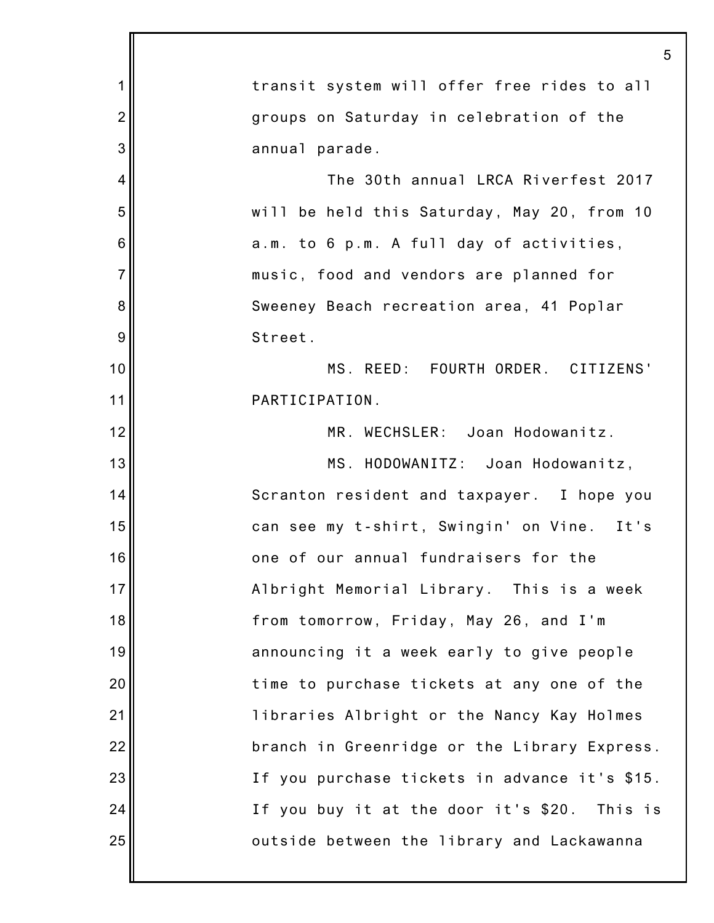|                | 5                                             |
|----------------|-----------------------------------------------|
| 1              | transit system will offer free rides to all   |
| $\overline{2}$ | groups on Saturday in celebration of the      |
| 3              | annual parade.                                |
| 4              | The 30th annual LRCA Riverfest 2017           |
| 5              | will be held this Saturday, May 20, from 10   |
| 6              | a.m. to 6 p.m. A full day of activities,      |
| $\overline{7}$ | music, food and vendors are planned for       |
| 8              | Sweeney Beach recreation area, 41 Poplar      |
| 9              | Street.                                       |
| 10             | MS. REED: FOURTH ORDER. CITIZENS'             |
| 11             | PARTICIPATION.                                |
| 12             | MR. WECHSLER: Joan Hodowanitz.                |
| 13             | MS. HODOWANITZ: Joan Hodowanitz,              |
| 14             | Scranton resident and taxpayer. I hope you    |
| 15             | can see my t-shirt, Swingin' on Vine. It's    |
| 16             | one of our annual fundraisers for the         |
| 17             | Albright Memorial Library. This is a week     |
| 18             | from tomorrow, Friday, May 26, and I'm        |
| 19             | announcing it a week early to give people     |
| 20             | time to purchase tickets at any one of the    |
| 21             | libraries Albright or the Nancy Kay Holmes    |
| 22             | branch in Greenridge or the Library Express.  |
| 23             | If you purchase tickets in advance it's \$15. |
| 24             | If you buy it at the door it's \$20. This is  |
| 25             | outside between the library and Lackawanna    |
|                |                                               |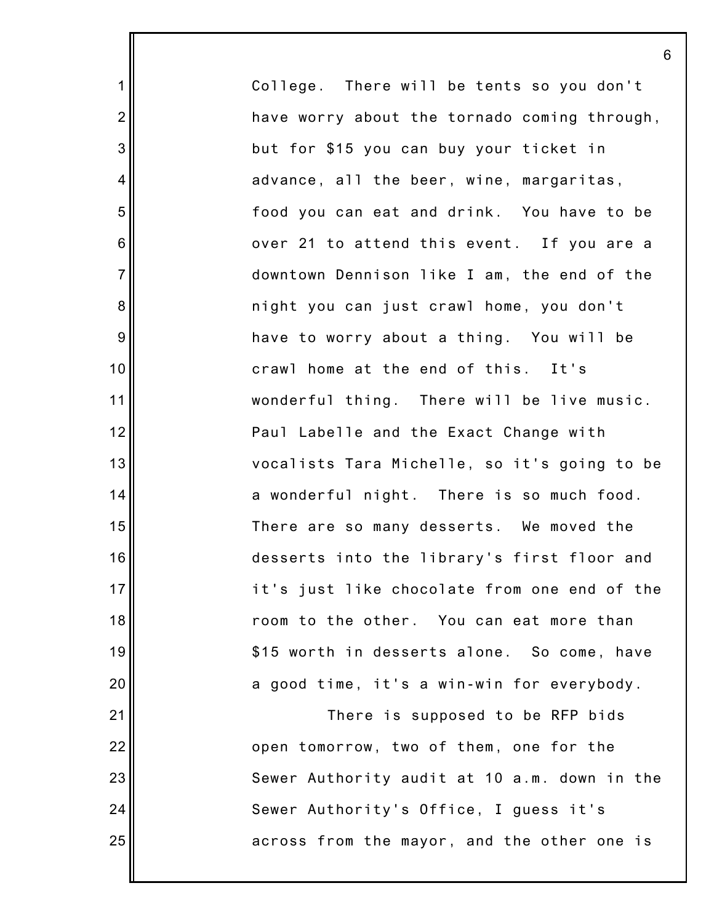College. There will be tents so you don't have worry about the tornado coming through, but for \$15 you can buy your ticket in advance, all the beer, wine, margaritas, food you can eat and drink. You have to be over 21 to attend this event. If you are a downtown Dennison like I am, the end of the night you can just crawl home, you don't have to worry about a thing. You will be crawl home at the end of this. It's wonderful thing. There will be live music. Paul Labelle and the Exact Change with vocalists Tara Michelle, so it's going to be a wonderful night. There is so much food. There are so many desserts. We moved the desserts into the library's first floor and it's just like chocolate from one end of the room to the other. You can eat more than \$15 worth in desserts alone. So come, have a good time, it's a win-win for everybody. There is supposed to be RFP bids

1

2

3

4

5

6

7

8

9

10

11

12

13

14

15

16

17

18

19

20

21

22

23

24

25

open tomorrow, two of them, one for the Sewer Authority audit at 10 a.m. down in the Sewer Authority's Office, I guess it's across from the mayor, and the other one is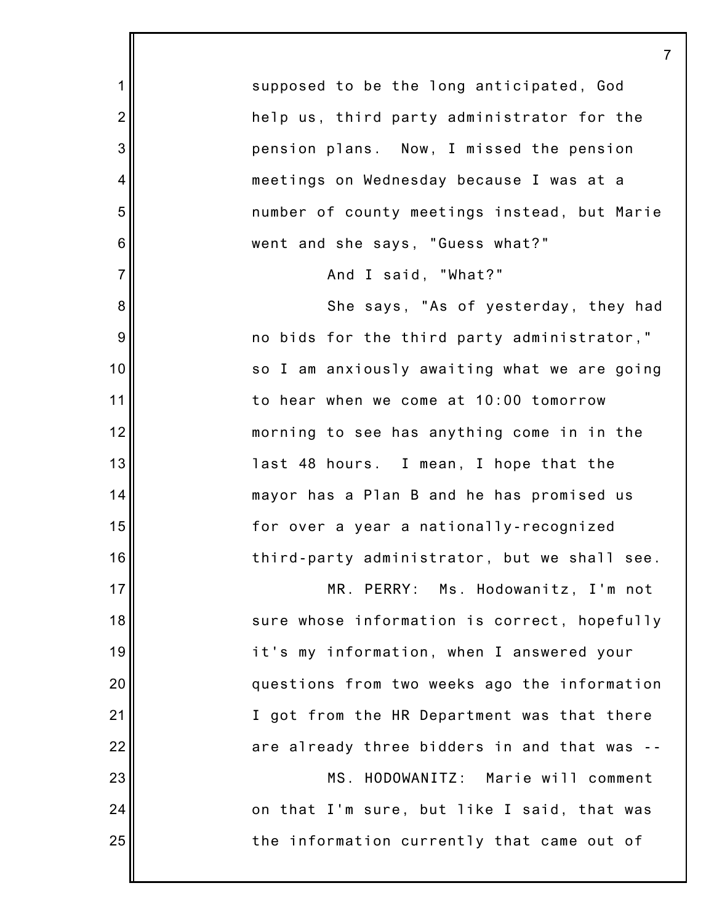supposed to be the long anticipated, God help us, third party administrator for the pension plans. Now, I missed the pension meetings on Wednesday because I was at a number of county meetings instead, but Marie went and she says, "Guess what?"

7

And I said, "What?"

1

2

3

4

5

6

7

8

9

10

11

12

13

14

15

16

17

18

19

20

21

22

23

24

25

She says, "As of yesterday, they had no bids for the third party administrator," so I am anxiously awaiting what we are going to hear when we come at 10:00 tomorrow morning to see has anything come in in the last 48 hours. I mean, I hope that the mayor has a Plan B and he has promised us for over a year a nationally-recognized third-party administrator, but we shall see.

MR. PERRY: Ms. Hodowanitz, I'm not sure whose information is correct, hopefully it's my information, when I answered your questions from two weeks ago the information I got from the HR Department was that there are already three bidders in and that was -- MS. HODOWANITZ: Marie will comment on that I'm sure, but like I said, that was the information currently that came out of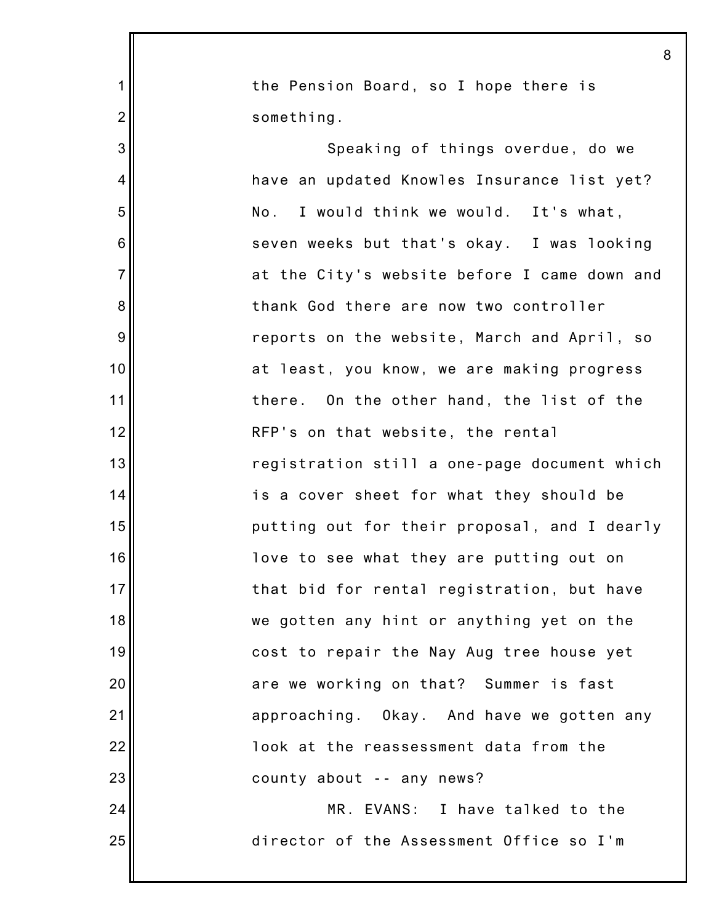|                  | 8                                            |
|------------------|----------------------------------------------|
| 1                | the Pension Board, so I hope there is        |
| $\overline{c}$   | something.                                   |
| 3                | Speaking of things overdue, do we            |
| 4                | have an updated Knowles Insurance list yet?  |
| 5                | I would think we would. It's what,<br>No.    |
| 6                | seven weeks but that's okay. I was looking   |
| $\overline{7}$   | at the City's website before I came down and |
| $\bf 8$          | thank God there are now two controller       |
| $\boldsymbol{9}$ | reports on the website, March and April, so  |
| 10               | at least, you know, we are making progress   |
| 11               | there. On the other hand, the list of the    |
| 12               | RFP's on that website, the rental            |
| 13               | registration still a one-page document which |
| 14               | is a cover sheet for what they should be     |
| 15               | putting out for their proposal, and I dearly |
| 16               | love to see what they are putting out on     |
| 17               | that bid for rental registration, but have   |
| 18               | we gotten any hint or anything yet on the    |
| 19               | cost to repair the Nay Aug tree house yet    |
| 20               | are we working on that? Summer is fast       |
| 21               | approaching. Okay. And have we gotten any    |
| 22               | look at the reassessment data from the       |
| 23               | county about -- any news?                    |
| 24               | MR. EVANS: I have talked to the              |
| 25               | director of the Assessment Office so I'm     |
|                  |                                              |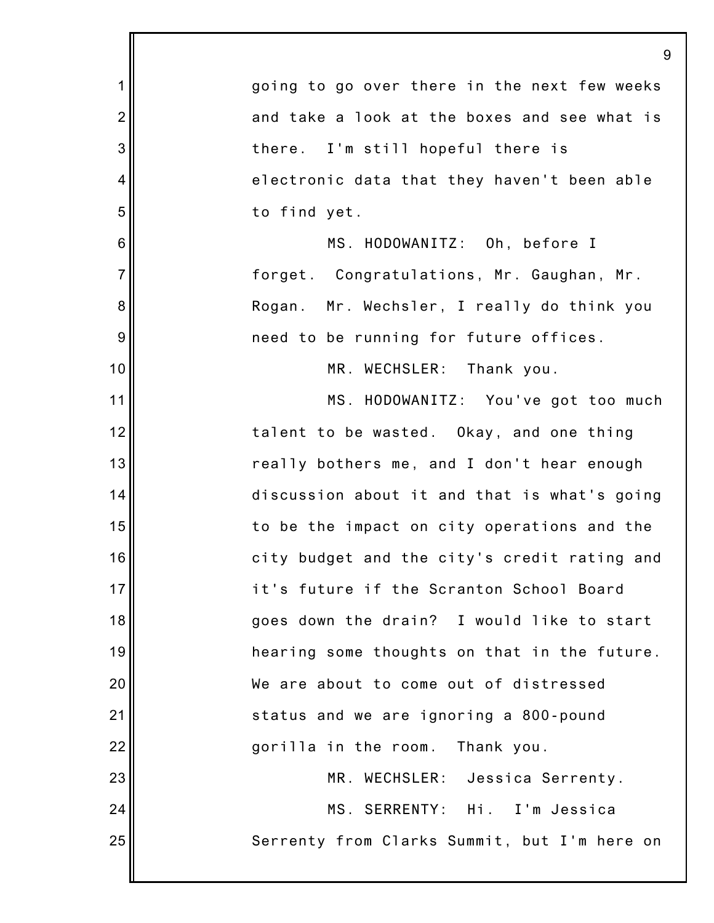|                 | 9                                            |
|-----------------|----------------------------------------------|
| $\mathbf 1$     | going to go over there in the next few weeks |
| $\overline{2}$  | and take a look at the boxes and see what is |
| 3               | there. I'm still hopeful there is            |
| 4               | electronic data that they haven't been able  |
| 5               | to find yet.                                 |
| $6\phantom{1}6$ | MS. HODOWANITZ: Oh, before I                 |
| $\overline{7}$  | forget. Congratulations, Mr. Gaughan, Mr.    |
| 8               | Rogan. Mr. Wechsler, I really do think you   |
| 9               | need to be running for future offices.       |
| 10              | MR. WECHSLER: Thank you.                     |
| 11              | MS. HODOWANITZ: You've got too much          |
| 12              | talent to be wasted. Okay, and one thing     |
| 13              | really bothers me, and I don't hear enough   |
| 14              | discussion about it and that is what's going |
| 15              | to be the impact on city operations and the  |
| 16              | city budget and the city's credit rating and |
| 17              | it's future if the Scranton School Board     |
| 18              | goes down the drain? I would like to start   |
| 19              | hearing some thoughts on that in the future. |
| 20              | We are about to come out of distressed       |
| 21              | status and we are ignoring a 800-pound       |
| 22              | gorilla in the room.<br>Thank you.           |
| 23              | MR. WECHSLER: Jessica Serrenty.              |
| 24              | MS. SERRENTY: Hi.<br>I'm Jessica             |
| 25              | Serrenty from Clarks Summit, but I'm here on |
|                 |                                              |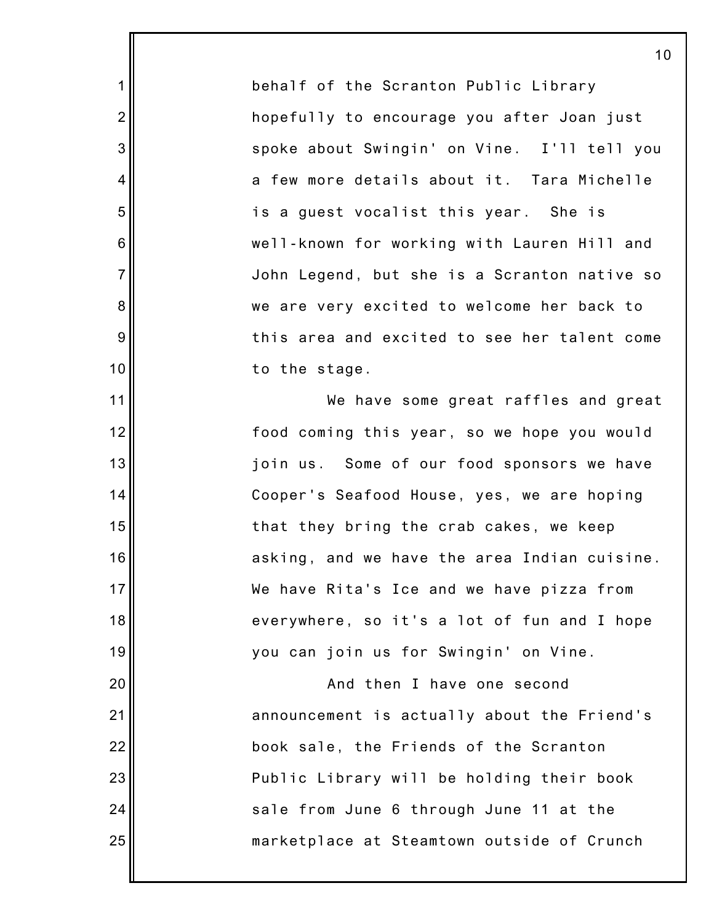behalf of the Scranton Public Library hopefully to encourage you after Joan just spoke about Swingin' on Vine. I'll tell you a few more details about it. Tara Michelle is a guest vocalist this year. She is well-known for working with Lauren Hill and John Legend, but she is a Scranton native so we are very excited to welcome her back to this area and excited to see her talent come to the stage.

1

2

3

4

5

6

7

8

9

10

11

12

13

14

15

16

17

18

19

20

21

22

23

24

25

We have some great raffles and great food coming this year, so we hope you would join us. Some of our food sponsors we have Cooper's Seafood House, yes, we are hoping that they bring the crab cakes, we keep asking, and we have the area Indian cuisine. We have Rita's Ice and we have pizza from everywhere, so it's a lot of fun and I hope you can join us for Swingin' on Vine.

And then I have one second announcement is actually about the Friend's book sale, the Friends of the Scranton Public Library will be holding their book sale from June 6 through June 11 at the marketplace at Steamtown outside of Crunch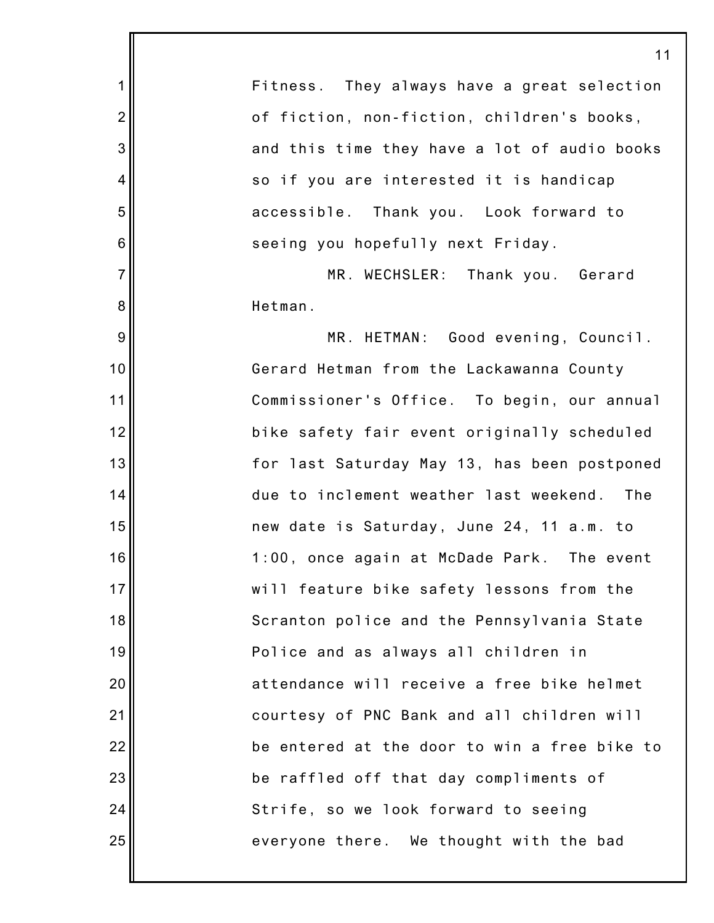11 Fitness. They always have a great selection of fiction, non-fiction, children's books, and this time they have a lot of audio books so if you are interested it is handicap accessible. Thank you. Look forward to seeing you hopefully next Friday. MR. WECHSLER: Thank you. Gerard Hetman. MR. HETMAN: Good evening, Council. Gerard Hetman from the Lackawanna County Commissioner's Office. To begin, our annual bike safety fair event originally scheduled for last Saturday May 13, has been postponed due to inclement weather last weekend. The new date is Saturday, June 24, 11 a.m. to 1:00, once again at McDade Park. The event will feature bike safety lessons from the Scranton police and the Pennsylvania State Police and as always all children in attendance will receive a free bike helmet courtesy of PNC Bank and all children will be entered at the door to win a free bike to be raffled off that day compliments of Strife, so we look forward to seeing everyone there. We thought with the bad

1

2

3

4

5

6

7

8

9

10

11

12

13

14

15

16

17

18

19

20

21

22

23

24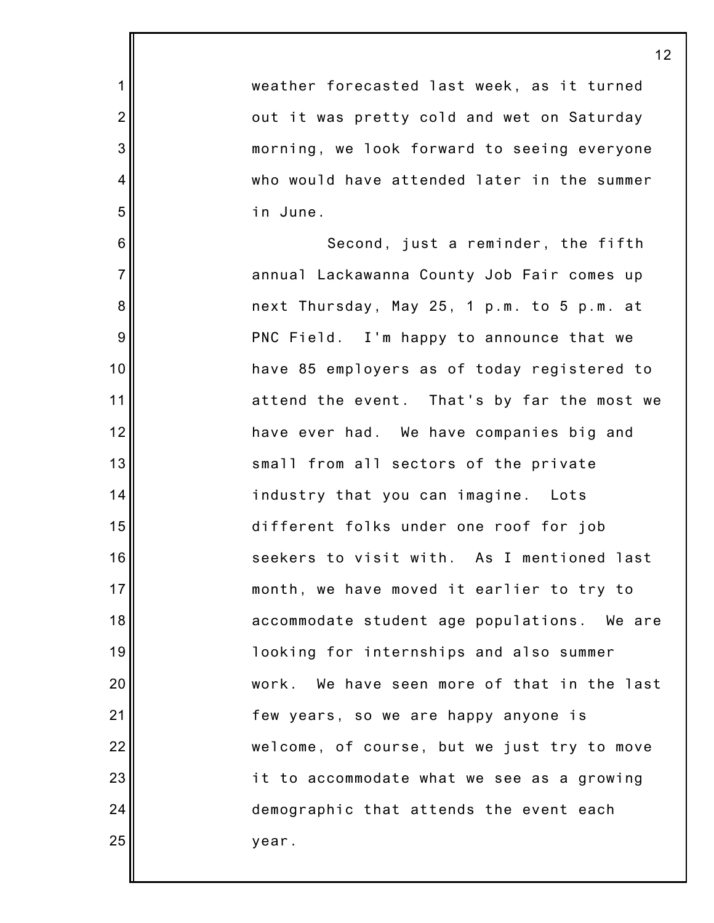| weather forecasted last week, as it turned  |
|---------------------------------------------|
| out it was pretty cold and wet on Saturday  |
| morning, we look forward to seeing everyone |
| who would have attended later in the summer |
| in June.                                    |
| Second, just a reminder, the fifth          |
| annual Lackawanna County Job Fair comes up  |
| next Thursday, May 25, 1 p.m. to 5 p.m. at  |
| PNC Field. I'm happy to announce that we    |
| have 85 employers as of today registered to |
| attend the event. That's by far the most we |
| have ever had. We have companies big and    |
| small from all sectors of the private       |
| industry that you can imagine. Lots         |
| different folks under one roof for job      |
| seekers to visit with. As I mentioned last  |
| month, we have moved it earlier to try to   |
| accommodate student age populations. We are |
| looking for internships and also summer     |
| work. We have seen more of that in the last |
| few years, so we are happy anyone is        |
| welcome, of course, but we just try to move |
| it to accommodate what we see as a growing  |
| demographic that attends the event each     |
| year.                                       |

1

2

3

4

5

6

7

8

9

10

11

12

13

14

15

16

17

18

19

20

21

22

23

24

25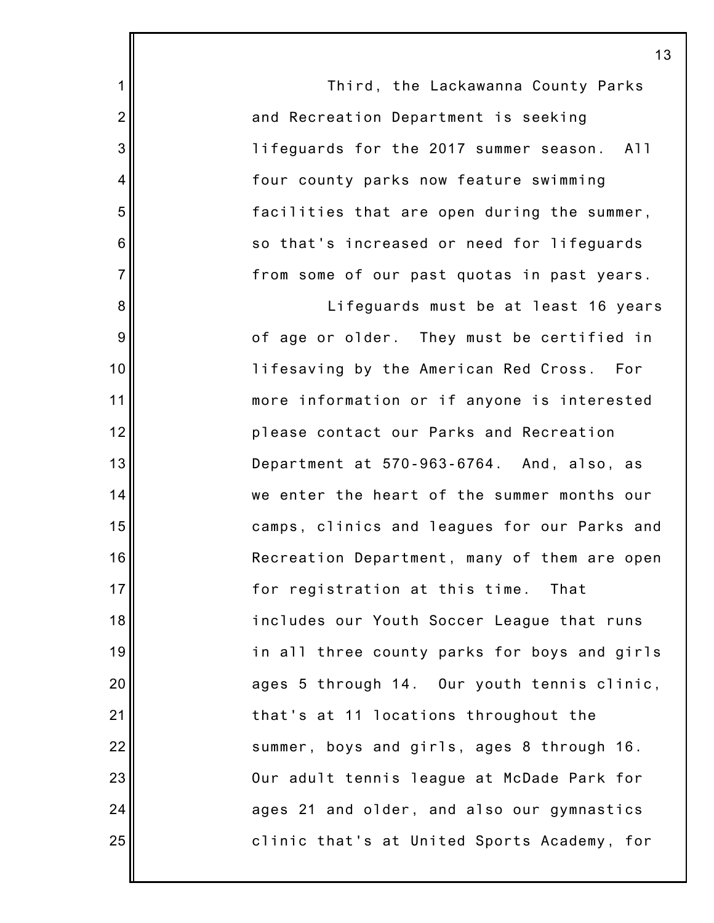|                | 1                                            |
|----------------|----------------------------------------------|
| 1              | Third, the Lackawanna County Parks           |
| $\overline{2}$ | and Recreation Department is seeking         |
| 3              | lifeguards for the 2017 summer season. All   |
| 4              | four county parks now feature swimming       |
| 5              | facilities that are open during the summer,  |
| 6              | so that's increased or need for lifeguards   |
| $\overline{7}$ | from some of our past quotas in past years.  |
| 8              | Lifeguards must be at least 16 years         |
| $\overline{9}$ | of age or older. They must be certified in   |
| 10             | lifesaving by the American Red Cross. For    |
| 11             | more information or if anyone is interested  |
| 12             | please contact our Parks and Recreation      |
| 13             | Department at 570-963-6764. And, also, as    |
| 14             | we enter the heart of the summer months our  |
| 15             | camps, clinics and leagues for our Parks and |
| 16             | Recreation Department, many of them are open |
| 17             | for registration at this time.<br>That       |
| 18             | includes our Youth Soccer League that runs   |
| 19             | in all three county parks for boys and girls |
| 20             | ages 5 through 14. Our youth tennis clinic,  |
| 21             | that's at 11 locations throughout the        |
| 22             | summer, boys and girls, ages 8 through 16.   |
| 23             | Our adult tennis league at McDade Park for   |
| 24             | ages 21 and older, and also our gymnastics   |
| 25             | clinic that's at United Sports Academy, for  |
|                |                                              |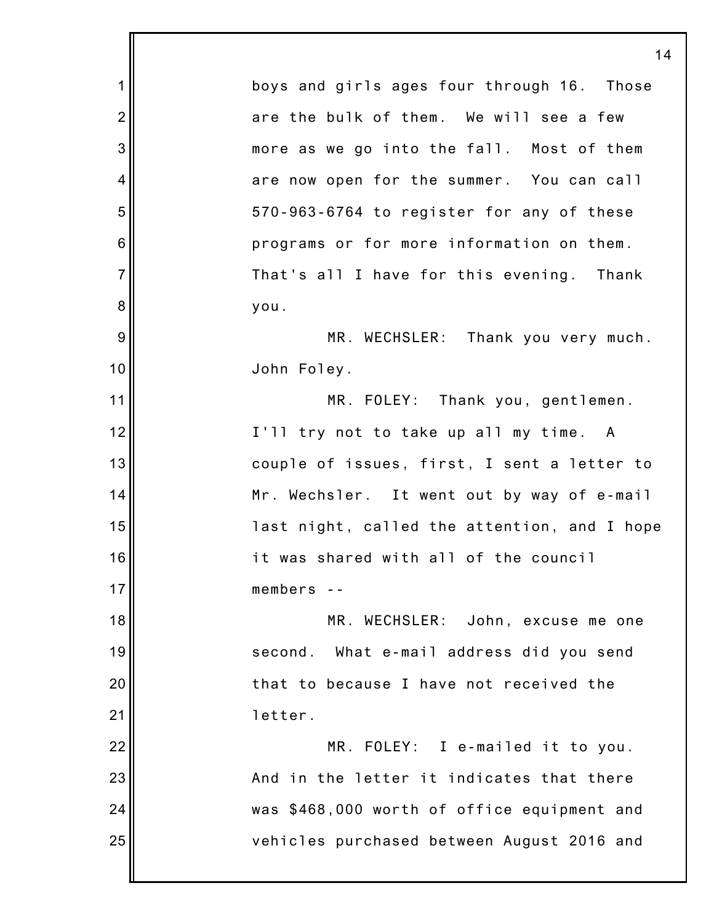1 2 3 4 5 6 7 8 9 10 11 12 13 14 15 16 17 18 19 20 21 22 23 24 25 14 boys and girls ages four through 16. Those are the bulk of them. We will see a few more as we go into the fall. Most of them are now open for the summer. You can call 570-963-6764 to register for any of these programs or for more information on them. That's all I have for this evening. Thank you. MR. WECHSLER: Thank you very much. John Foley. MR. FOLEY: Thank you, gentlemen. I'll try not to take up all my time. A couple of issues, first, I sent a letter to Mr. Wechsler. It went out by way of e-mail last night, called the attention, and I hope it was shared with all of the council members -- MR. WECHSLER: John, excuse me one second. What e-mail address did you send that to because I have not received the letter. MR. FOLEY: I e-mailed it to you. And in the letter it indicates that there was \$468,000 worth of office equipment and vehicles purchased between August 2016 and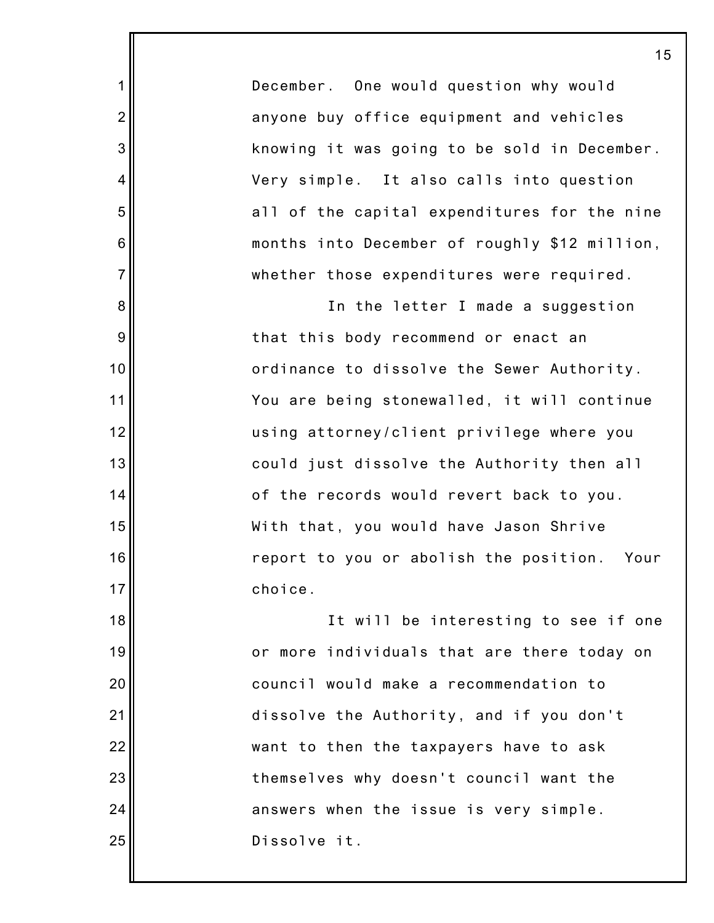December. One would question why would anyone buy office equipment and vehicles knowing it was going to be sold in December. Very simple. It also calls into question all of the capital expenditures for the nine months into December of roughly \$12 million, whether those expenditures were required.

1

2

3

4

5

6

7

8

9

10

11

12

13

14

15

16

17

In the letter I made a suggestion that this body recommend or enact an ordinance to dissolve the Sewer Authority. You are being stonewalled, it will continue using attorney/client privilege where you could just dissolve the Authority then all of the records would revert back to you. With that, you would have Jason Shrive report to you or abolish the position. Your choice.

18 19 20 21 22 23 24 25 It will be interesting to see if one or more individuals that are there today on council would make a recommendation to dissolve the Authority, and if you don't want to then the taxpayers have to ask themselves why doesn't council want the answers when the issue is very simple. Dissolve it.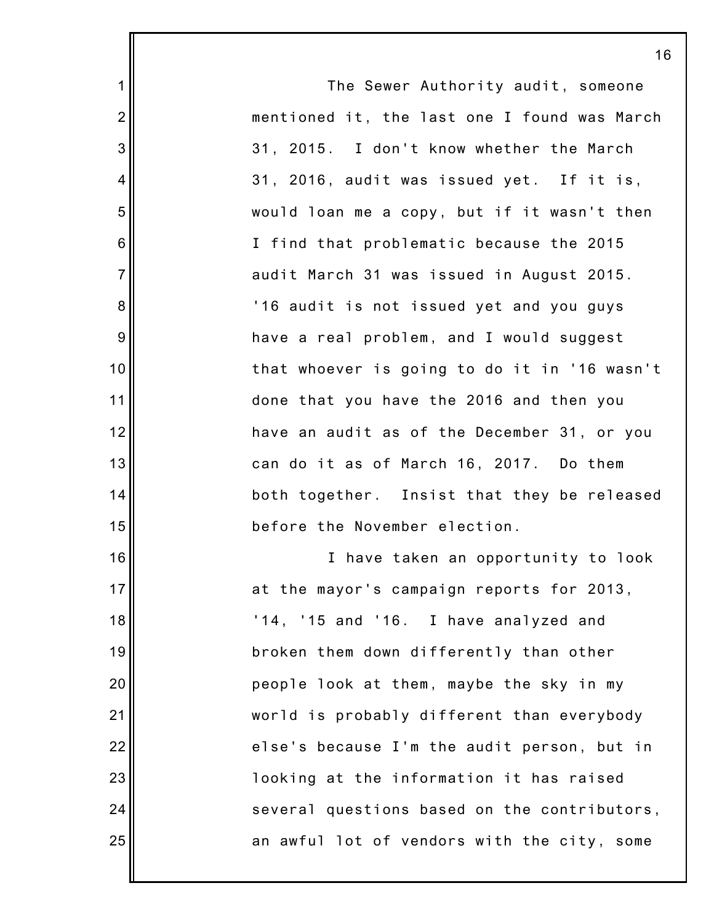16 The Sewer Authority audit, someone mentioned it, the last one I found was March 31, 2015. I don't know whether the March 31, 2016, audit was issued yet. If it is, would loan me a copy, but if it wasn't then I find that problematic because the 2015 audit March 31 was issued in August 2015. '16 audit is not issued yet and you guys have a real problem, and I would suggest that whoever is going to do it in '16 wasn't done that you have the 2016 and then you have an audit as of the December 31, or you can do it as of March 16, 2017. Do them both together. Insist that they be released before the November election. I have taken an opportunity to look at the mayor's campaign reports for 2013, '14, '15 and '16. I have analyzed and broken them down differently than other people look at them, maybe the sky in my world is probably different than everybody else's because I'm the audit person, but in looking at the information it has raised several questions based on the contributors, an awful lot of vendors with the city, some

1

2

3

4

5

6

7

8

9

10

11

12

13

14

15

16

17

18

19

20

21

22

23

24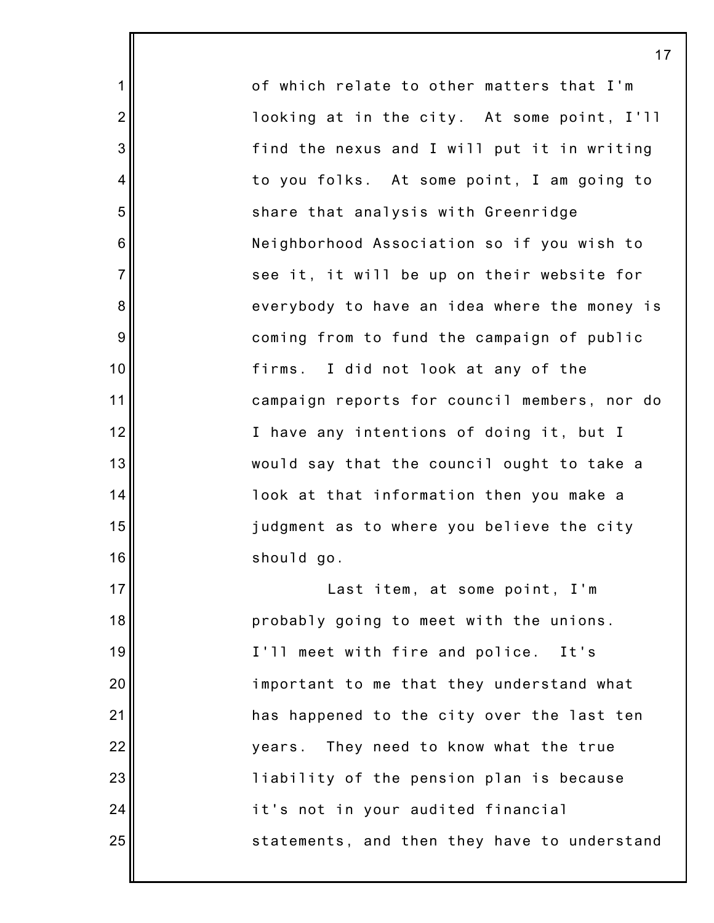of which relate to other matters that I'm looking at in the city. At some point, I'll find the nexus and I will put it in writing to you folks. At some point, I am going to share that analysis with Greenridge Neighborhood Association so if you wish to see it, it will be up on their website for everybody to have an idea where the money is coming from to fund the campaign of public firms. I did not look at any of the campaign reports for council members, nor do I have any intentions of doing it, but I would say that the council ought to take a look at that information then you make a judgment as to where you believe the city should go.

1

2

3

4

5

6

7

8

9

10

11

12

13

14

15

16

17

18

19

20

21

22

23

24

25

Last item, at some point, I'm probably going to meet with the unions. I'll meet with fire and police. It's important to me that they understand what has happened to the city over the last ten years. They need to know what the true liability of the pension plan is because it's not in your audited financial statements, and then they have to understand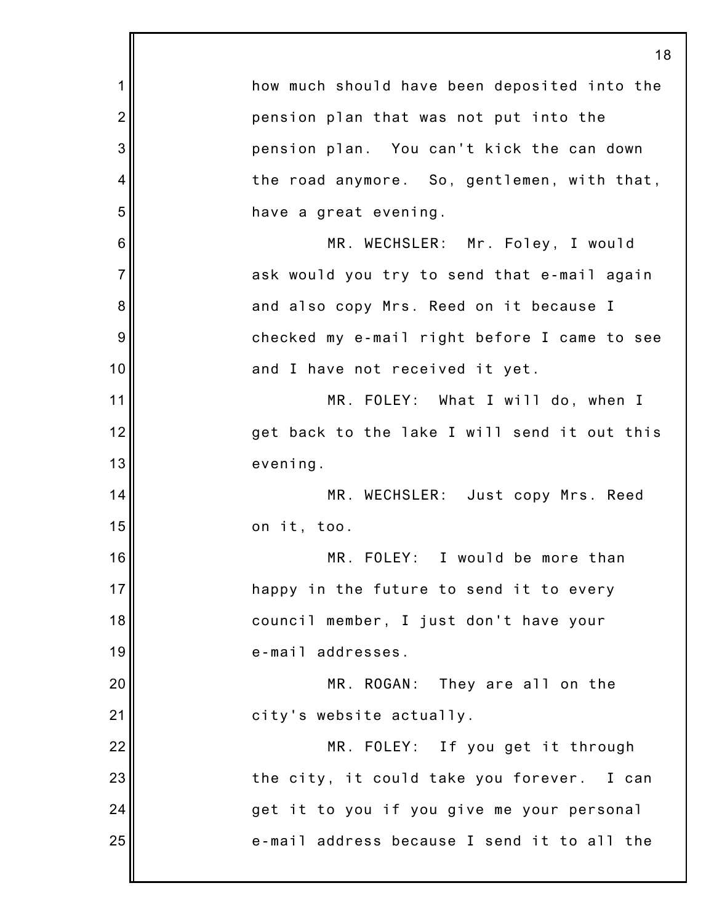|                | 18                                           |
|----------------|----------------------------------------------|
| 1              | how much should have been deposited into the |
| $\overline{2}$ | pension plan that was not put into the       |
| 3              | pension plan. You can't kick the can down    |
| 4              | the road anymore. So, gentlemen, with that,  |
| 5              | have a great evening.                        |
| 6              | MR. WECHSLER: Mr. Foley, I would             |
| $\overline{7}$ | ask would you try to send that e-mail again  |
| 8              | and also copy Mrs. Reed on it because I      |
| 9              | checked my e-mail right before I came to see |
| 10             | and I have not received it yet.              |
| 11             | MR. FOLEY: What I will do, when I            |
| 12             | get back to the lake I will send it out this |
| 13             | evening.                                     |
| 14             | MR. WECHSLER: Just copy Mrs. Reed            |
| 15             | on it, too.                                  |
| 16             | MR. FOLEY: I would be more than              |
| 17             | happy in the future to send it to every      |
| 18             | council member, I just don't have your       |
| 19             | e-mail addresses.                            |
| 20             | MR. ROGAN: They are all on the               |
| 21             | city's website actually.                     |
| 22             | MR. FOLEY: If you get it through             |
| 23             | the city, it could take you forever. I can   |
| 24             | get it to you if you give me your personal   |
| 25             | e-mail address because I send it to all the  |
|                |                                              |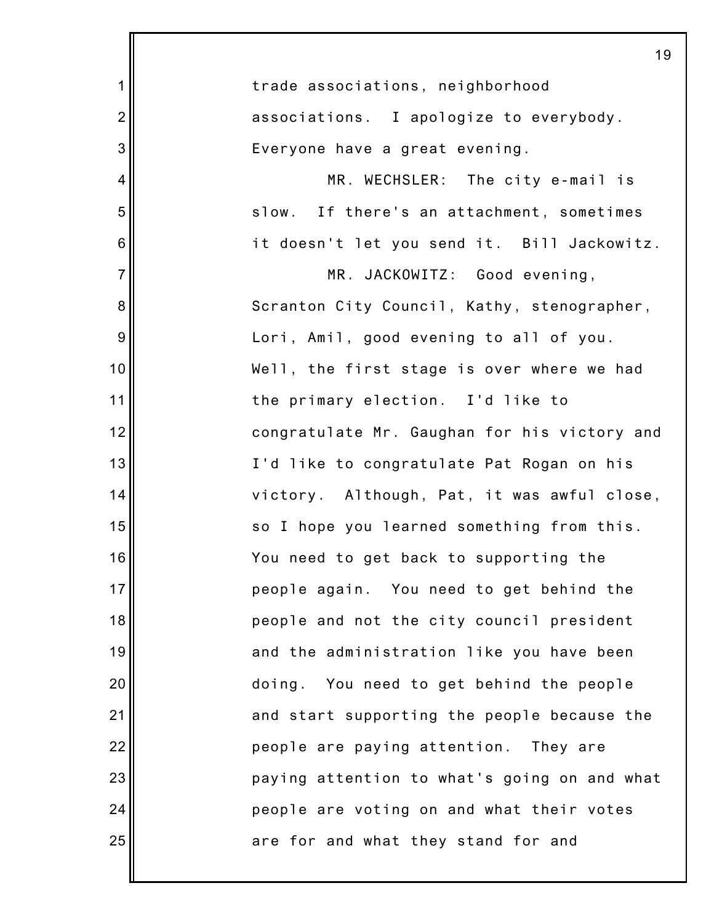|                 | 19                                           |
|-----------------|----------------------------------------------|
| $\mathbf 1$     | trade associations, neighborhood             |
| $\overline{2}$  | associations. I apologize to everybody.      |
| 3               | Everyone have a great evening.               |
| 4               | MR. WECHSLER: The city e-mail is             |
| 5               | slow. If there's an attachment, sometimes    |
| $6\phantom{1}6$ | it doesn't let you send it. Bill Jackowitz.  |
| $\overline{7}$  | MR. JACKOWITZ: Good evening,                 |
| 8               | Scranton City Council, Kathy, stenographer,  |
| 9               | Lori, Amil, good evening to all of you.      |
| 10              | Well, the first stage is over where we had   |
| 11              | the primary election. I'd like to            |
| 12              | congratulate Mr. Gaughan for his victory and |
| 13              | I'd like to congratulate Pat Rogan on his    |
| 14              | victory. Although, Pat, it was awful close,  |
| 15              | so I hope you learned something from this.   |
| 16              | You need to get back to supporting the       |
| 17              | people again. You need to get behind the     |
| 18              | people and not the city council president    |
| 19              | and the administration like you have been    |
| 20              | doing. You need to get behind the people     |
| 21              | and start supporting the people because the  |
| 22              | people are paying attention. They are        |
| 23              | paying attention to what's going on and what |
| 24              | people are voting on and what their votes    |
| 25              | are for and what they stand for and          |
|                 |                                              |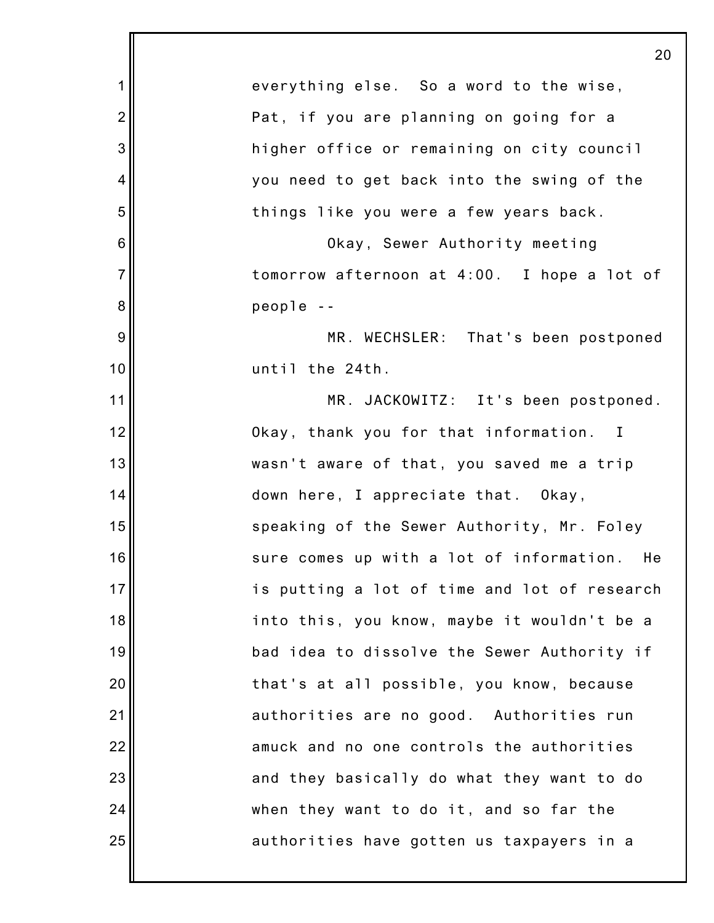1 2 3 4 5 6 7 8 9 10 11 12 13 14 15 16 17 18 19 20 21 22 23 24 25 20 everything else. So a word to the wise, Pat, if you are planning on going for a higher office or remaining on city council you need to get back into the swing of the things like you were a few years back. Okay, Sewer Authority meeting tomorrow afternoon at 4:00. I hope a lot of people -- MR. WECHSLER: That's been postponed until the 24th. MR. JACKOWITZ: It's been postponed. Okay, thank you for that information. I wasn't aware of that, you saved me a trip down here, I appreciate that. Okay, speaking of the Sewer Authority, Mr. Foley sure comes up with a lot of information. He is putting a lot of time and lot of research into this, you know, maybe it wouldn't be a bad idea to dissolve the Sewer Authority if that's at all possible, you know, because authorities are no good. Authorities run amuck and no one controls the authorities and they basically do what they want to do when they want to do it, and so far the authorities have gotten us taxpayers in a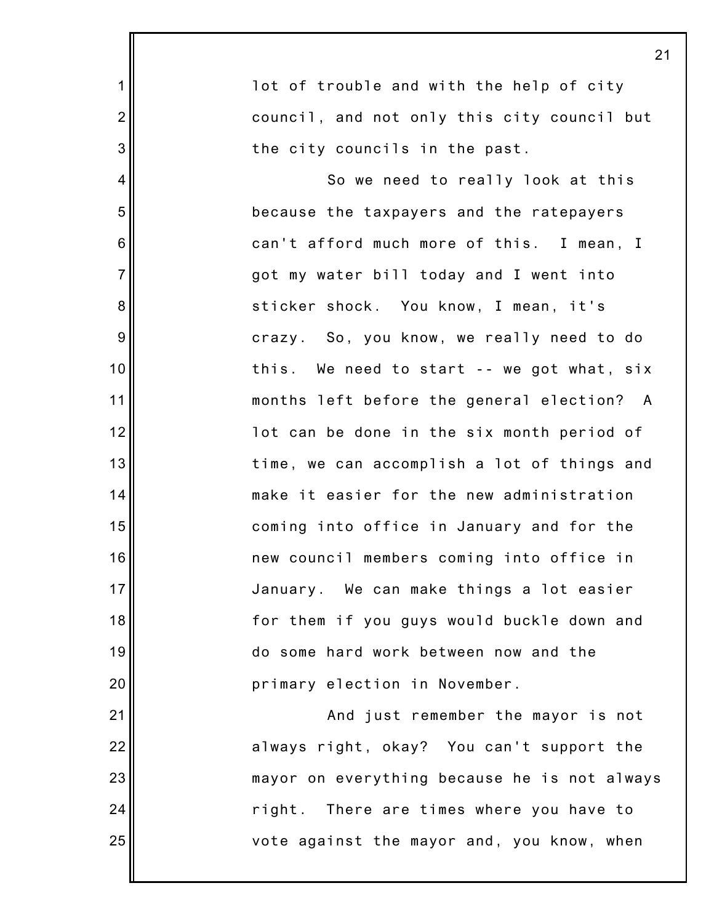|                 | 21                                           |
|-----------------|----------------------------------------------|
| 1               | lot of trouble and with the help of city     |
| $\overline{c}$  | council, and not only this city council but  |
| 3               | the city councils in the past.               |
| 4               | So we need to really look at this            |
| 5               | because the taxpayers and the ratepayers     |
| $6\phantom{1}6$ | can't afford much more of this. I mean, I    |
| $\overline{7}$  | got my water bill today and I went into      |
| $\bf 8$         | sticker shock. You know, I mean, it's        |
| $9\,$           | crazy. So, you know, we really need to do    |
| 10              | this. We need to start -- we got what, six   |
| 11              | months left before the general election? A   |
| 12              | lot can be done in the six month period of   |
| 13              | time, we can accomplish a lot of things and  |
| 14              | make it easier for the new administration    |
| 15              | coming into office in January and for the    |
| 16              | new council members coming into office in    |
| 17              | January. We can make things a lot easier     |
| 18              | for them if you guys would buckle down and   |
| 19              | do some hard work between now and the        |
| 20              | primary election in November.                |
| 21              | And just remember the mayor is not           |
| 22              | always right, okay? You can't support the    |
| 23              | mayor on everything because he is not always |
| 24              | right. There are times where you have to     |
| 25              | vote against the mayor and, you know, when   |
|                 |                                              |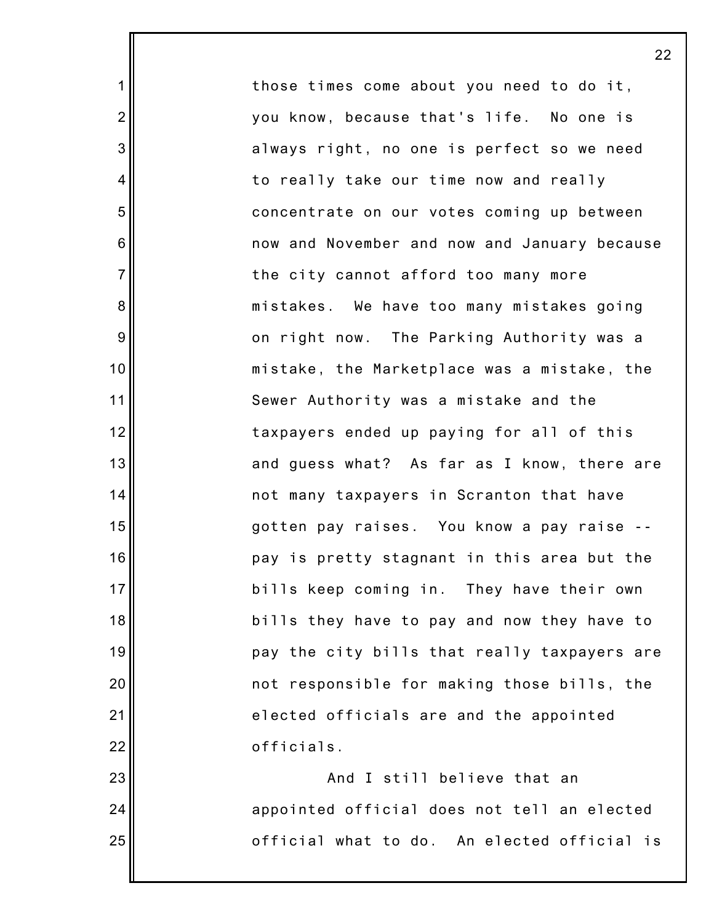those times come about you need to do it, you know, because that's life. No one is always right, no one is perfect so we need to really take our time now and really concentrate on our votes coming up between now and November and now and January because the city cannot afford too many more mistakes. We have too many mistakes going on right now. The Parking Authority was a mistake, the Marketplace was a mistake, the Sewer Authority was a mistake and the taxpayers ended up paying for all of this and guess what? As far as I know, there are not many taxpayers in Scranton that have gotten pay raises. You know a pay raise - pay is pretty stagnant in this area but the bills keep coming in. They have their own bills they have to pay and now they have to pay the city bills that really taxpayers are not responsible for making those bills, the elected officials are and the appointed officials.

1

2

3

4

5

6

7

8

9

10

11

12

13

14

15

16

17

18

19

20

21

22

23

24

25

And I still believe that an appointed official does not tell an elected official what to do. An elected official is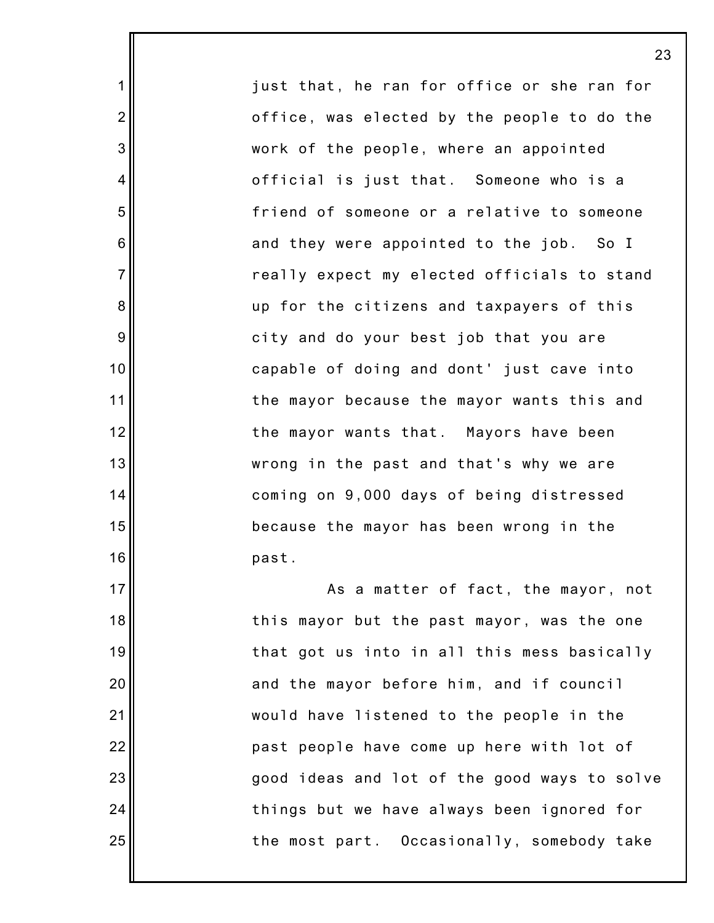just that, he ran for office or she ran for office, was elected by the people to do the work of the people, where an appointed official is just that. Someone who is a friend of someone or a relative to someone and they were appointed to the job. So I really expect my elected officials to stand up for the citizens and taxpayers of this city and do your best job that you are capable of doing and dont' just cave into the mayor because the mayor wants this and the mayor wants that. Mayors have been wrong in the past and that's why we are coming on 9,000 days of being distressed because the mayor has been wrong in the past.

1

2

3

4

5

6

7

8

9

10

11

12

13

14

15

16

17

18

19

20

21

22

23

24

25

As a matter of fact, the mayor, not this mayor but the past mayor, was the one that got us into in all this mess basically and the mayor before him, and if council would have listened to the people in the past people have come up here with lot of good ideas and lot of the good ways to solve things but we have always been ignored for the most part. Occasionally, somebody take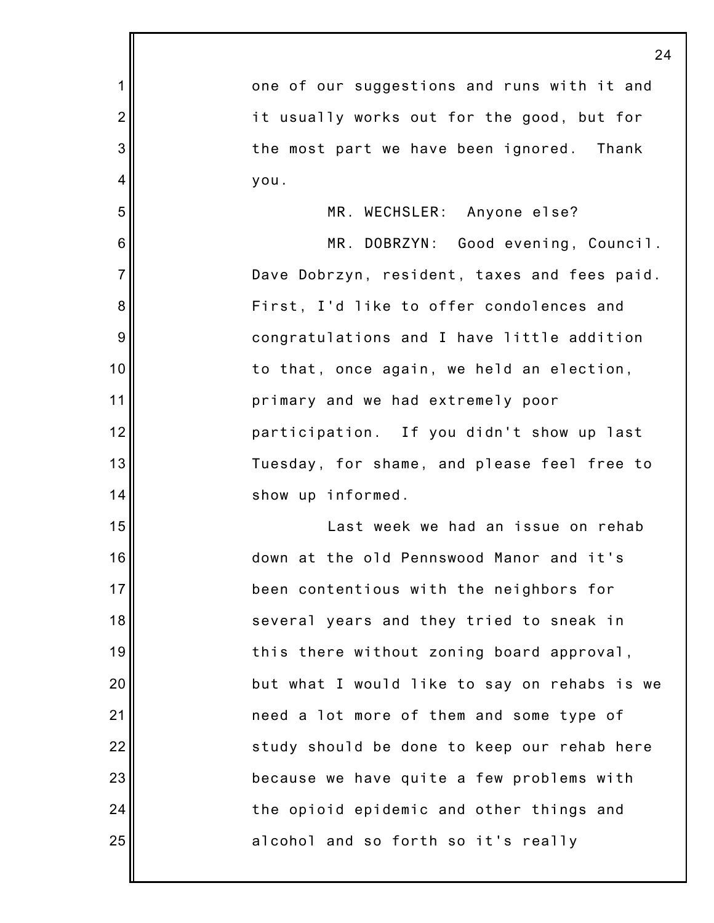|                | 24                                           |
|----------------|----------------------------------------------|
| 1              | one of our suggestions and runs with it and  |
| $\overline{2}$ | it usually works out for the good, but for   |
| 3              | the most part we have been ignored. Thank    |
| 4              | you.                                         |
| 5              | MR. WECHSLER: Anyone else?                   |
| $\,6$          | MR. DOBRZYN: Good evening, Council.          |
| $\overline{7}$ | Dave Dobrzyn, resident, taxes and fees paid. |
| 8              | First, I'd like to offer condolences and     |
| 9              | congratulations and I have little addition   |
| 10             | to that, once again, we held an election,    |
| 11             | primary and we had extremely poor            |
| 12             | participation. If you didn't show up last    |
| 13             | Tuesday, for shame, and please feel free to  |
| 14             | show up informed.                            |
| 15             | Last week we had an issue on rehab           |
| 16             | down at the old Pennswood Manor and it's     |
| 17             | been contentious with the neighbors for      |
| 18             | several years and they tried to sneak in     |
| 19             | this there without zoning board approval,    |
| 20             | but what I would like to say on rehabs is we |
| 21             | need a lot more of them and some type of     |
| 22             | study should be done to keep our rehab here  |
| 23             | because we have quite a few problems with    |
| 24             | the opioid epidemic and other things and     |
| 25             | alcohol and so forth so it's really          |
|                |                                              |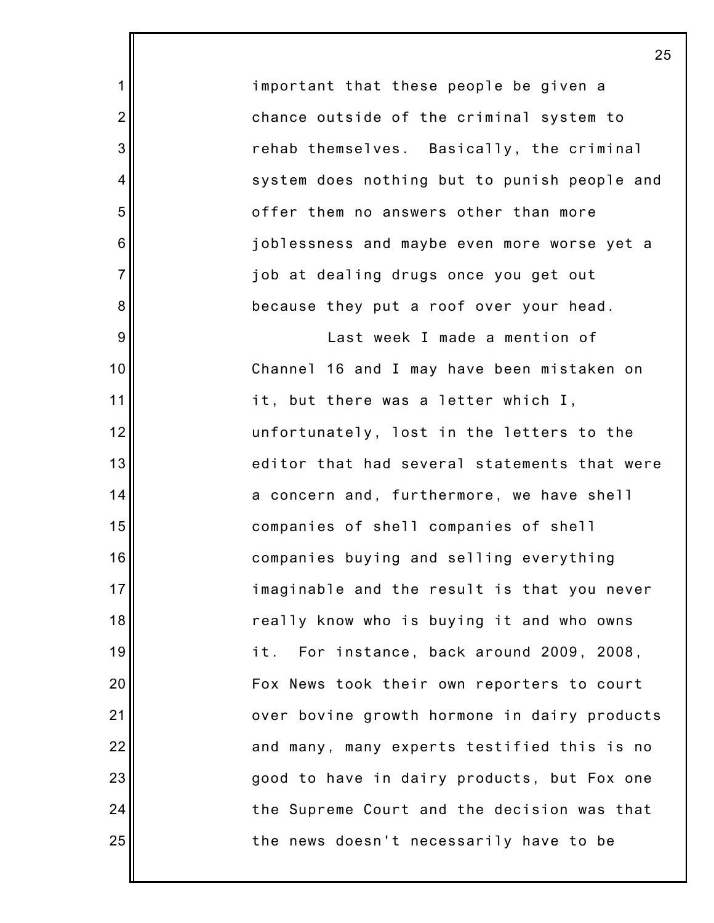important that these people be given a chance outside of the criminal system to rehab themselves. Basically, the criminal system does nothing but to punish people and offer them no answers other than more joblessness and maybe even more worse yet a job at dealing drugs once you get out because they put a roof over your head.

1

2

3

4

5

6

7

8

9

10

11

12

13

14

15

16

17

18

19

20

21

22

23

24

25

Last week I made a mention of Channel 16 and I may have been mistaken on it, but there was a letter which I, unfortunately, lost in the letters to the editor that had several statements that were a concern and, furthermore, we have shell companies of shell companies of shell companies buying and selling everything imaginable and the result is that you never really know who is buying it and who owns it. For instance, back around 2009, 2008, Fox News took their own reporters to court over bovine growth hormone in dairy products and many, many experts testified this is no good to have in dairy products, but Fox one the Supreme Court and the decision was that the news doesn't necessarily have to be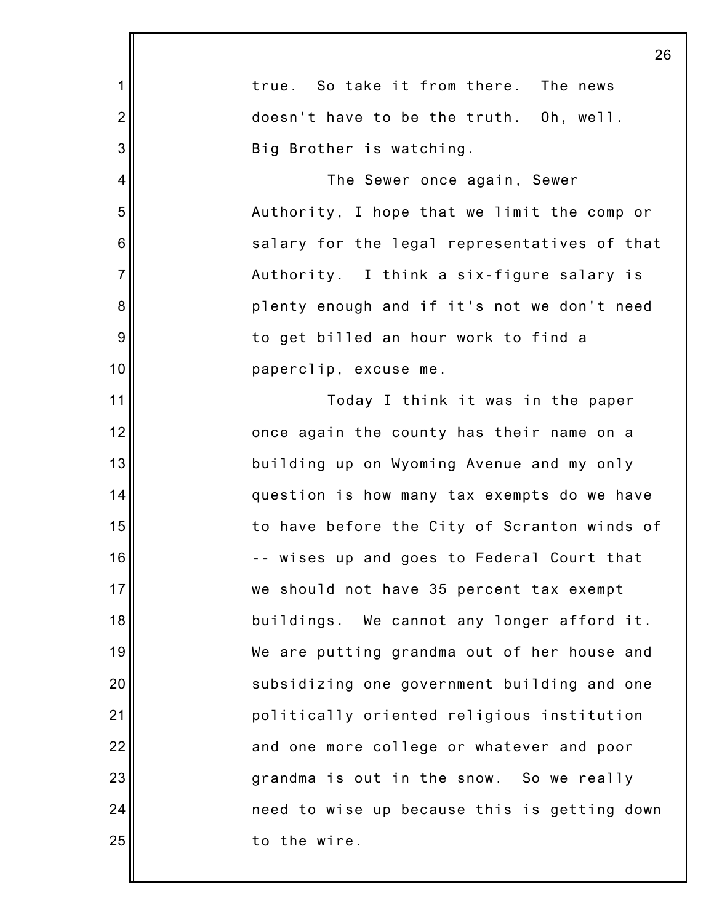|                | 26                                           |
|----------------|----------------------------------------------|
| 1              | true. So take it from there. The news        |
| $\overline{2}$ | doesn't have to be the truth. Oh, well.      |
| 3              | Big Brother is watching.                     |
| 4              | The Sewer once again, Sewer                  |
| 5              | Authority, I hope that we limit the comp or  |
| 6              | salary for the legal representatives of that |
| $\overline{7}$ | Authority. I think a six-figure salary is    |
| 8              | plenty enough and if it's not we don't need  |
| 9              | to get billed an hour work to find a         |
| 10             | paperclip, excuse me.                        |
| 11             | Today I think it was in the paper            |
| 12             | once again the county has their name on a    |
| 13             | building up on Wyoming Avenue and my only    |
| 14             | question is how many tax exempts do we have  |
| 15             | to have before the City of Scranton winds of |
| 16             | -- wises up and goes to Federal Court that   |
| 17             | we should not have 35 percent tax exempt     |
| 18             | buildings. We cannot any longer afford it.   |
| 19             | We are putting grandma out of her house and  |
| 20             | subsidizing one government building and one  |
| 21             | politically oriented religious institution   |
| 22             | and one more college or whatever and poor    |
| 23             | grandma is out in the snow. So we really     |
| 24             | need to wise up because this is getting down |
| 25             | to the wire.                                 |
|                |                                              |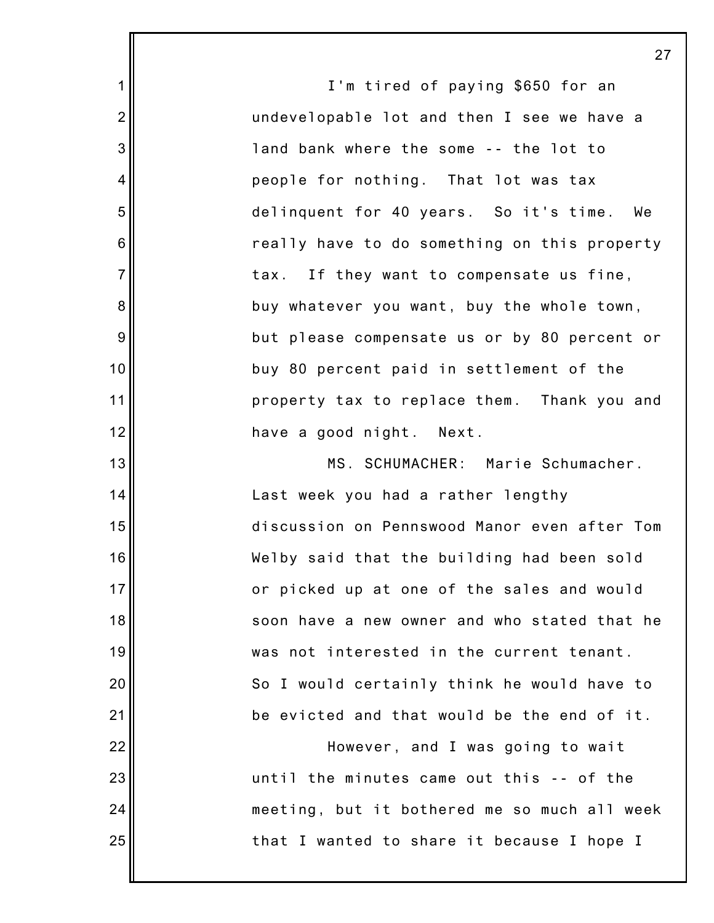I'm tired of paying \$650 for an undevelopable lot and then I see we have a land bank where the some -- the lot to people for nothing. That lot was tax delinquent for 40 years. So it's time. We really have to do something on this property tax. If they want to compensate us fine, buy whatever you want, buy the whole town, but please compensate us or by 80 percent or buy 80 percent paid in settlement of the property tax to replace them. Thank you and have a good night. Next. MS. SCHUMACHER: Marie Schumacher. Last week you had a rather lengthy discussion on Pennswood Manor even after Tom Welby said that the building had been sold or picked up at one of the sales and would soon have a new owner and who stated that he was not interested in the current tenant. So I would certainly think he would have to be evicted and that would be the end of it. However, and I was going to wait until the minutes came out this -- of the meeting, but it bothered me so much all week

that I wanted to share it because I hope I

1

2

3

4

5

6

7

8

9

10

11

12

13

14

15

16

17

18

19

20

21

22

23

24

25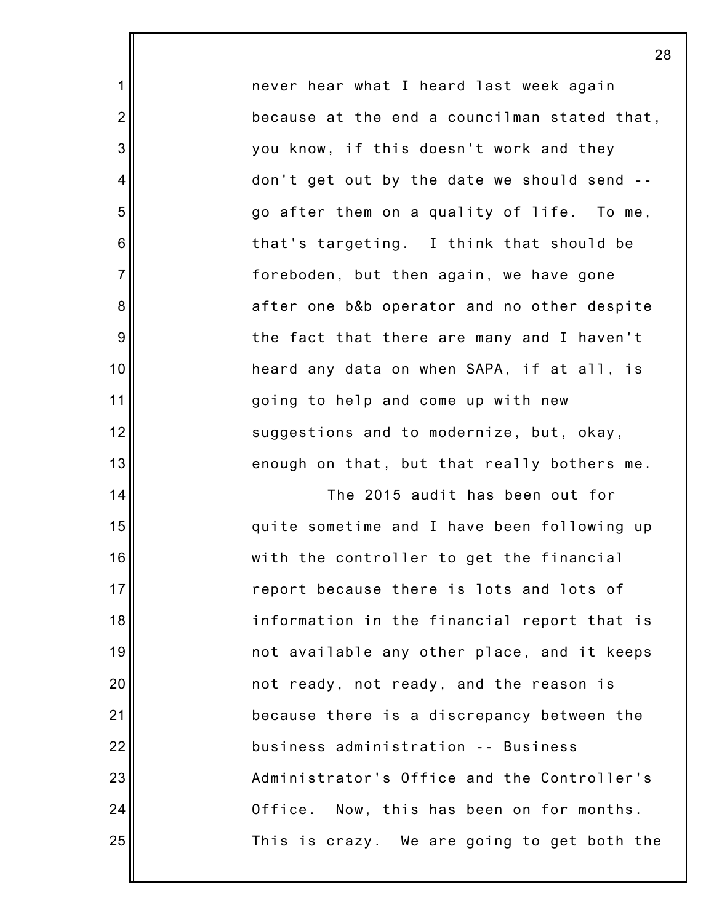never hear what I heard last week again because at the end a councilman stated that, you know, if this doesn't work and they don't get out by the date we should send - go after them on a quality of life. To me, that's targeting. I think that should be foreboden, but then again, we have gone after one b&b operator and no other despite the fact that there are many and I haven't heard any data on when SAPA, if at all, is going to help and come up with new suggestions and to modernize, but, okay, enough on that, but that really bothers me.

1

2

3

4

5

6

7

8

9

10

11

12

13

14

15

16

17

18

19

20

21

22

23

24

25

The 2015 audit has been out for quite sometime and I have been following up with the controller to get the financial report because there is lots and lots of information in the financial report that is not available any other place, and it keeps not ready, not ready, and the reason is because there is a discrepancy between the business administration -- Business Administrator's Office and the Controller's Office. Now, this has been on for months. This is crazy. We are going to get both the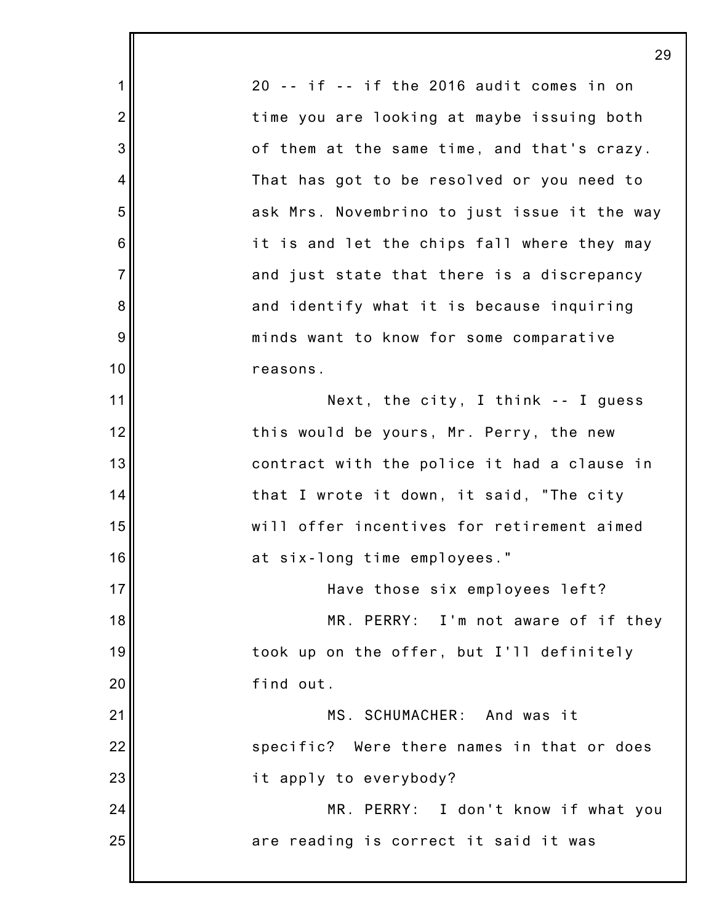1 2 3 4 5 6 7 8 9 10 11 12 13 14 15 16 17 18 19 20 21 22 23 24 25 20 -- if -- if the 2016 audit comes in on time you are looking at maybe issuing both of them at the same time, and that's crazy. That has got to be resolved or you need to ask Mrs. Novembrino to just issue it the way it is and let the chips fall where they may and just state that there is a discrepancy and identify what it is because inquiring minds want to know for some comparative reasons. Next, the city, I think -- I guess this would be yours, Mr. Perry, the new contract with the police it had a clause in that I wrote it down, it said, "The city will offer incentives for retirement aimed at six-long time employees." Have those six employees left? MR. PERRY: I'm not aware of if they took up on the offer, but I'll definitely find out. MS. SCHUMACHER: And was it specific? Were there names in that or does it apply to everybody? MR. PERRY: I don't know if what you are reading is correct it said it was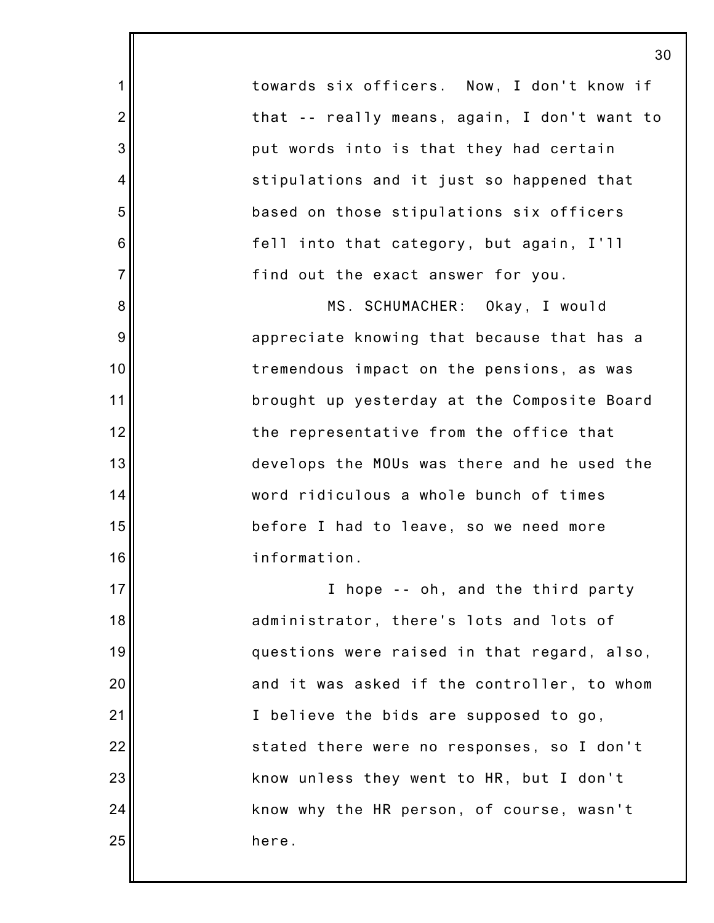towards six officers. Now, I don't know if that -- really means, again, I don't want to put words into is that they had certain stipulations and it just so happened that based on those stipulations six officers fell into that category, but again, I'll find out the exact answer for you.

1

2

3

4

5

6

7

8

9

10

11

12

13

14

15

16

17

18

19

20

21

22

23

24

25

MS. SCHUMACHER: Okay, I would appreciate knowing that because that has a tremendous impact on the pensions, as was brought up yesterday at the Composite Board the representative from the office that develops the MOUs was there and he used the word ridiculous a whole bunch of times before I had to leave, so we need more information.

I hope -- oh, and the third party administrator, there's lots and lots of questions were raised in that regard, also, and it was asked if the controller, to whom I believe the bids are supposed to go, stated there were no responses, so I don't know unless they went to HR, but I don't know why the HR person, of course, wasn't here.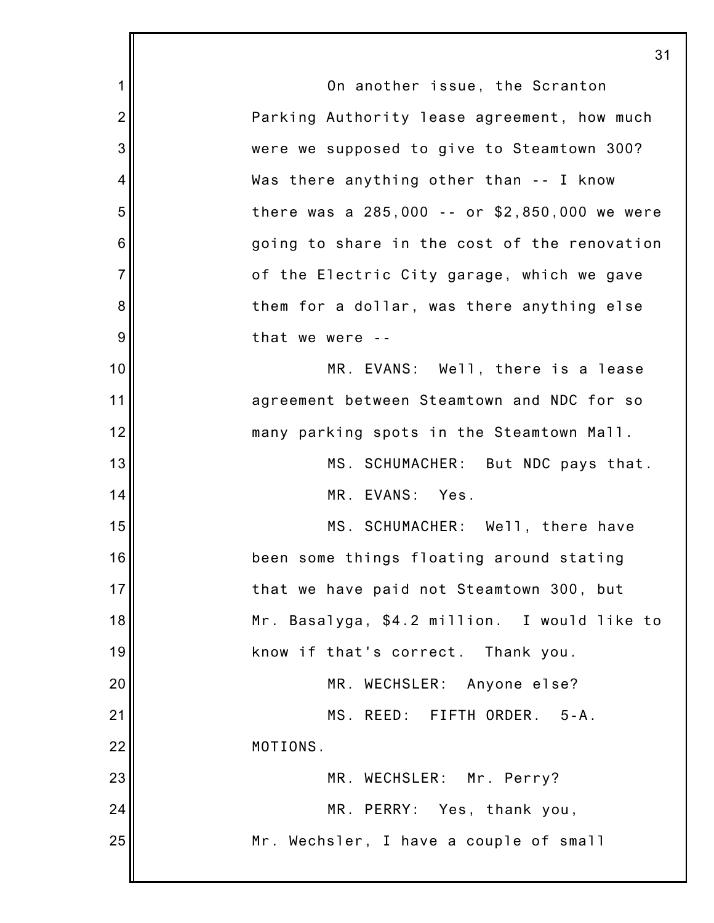1 2 3 4 5 6 7 8 9 10 11 12 13 14 15 16 17 18 19 20 21 22 23 24 25 31 On another issue, the Scranton Parking Authority lease agreement, how much were we supposed to give to Steamtown 300? Was there anything other than -- I know there was a 285,000 -- or \$2,850,000 we were going to share in the cost of the renovation of the Electric City garage, which we gave them for a dollar, was there anything else that we were -- MR. EVANS: Well, there is a lease agreement between Steamtown and NDC for so many parking spots in the Steamtown Mall. MS. SCHUMACHER: But NDC pays that. MR. EVANS: Yes. MS. SCHUMACHER: Well, there have been some things floating around stating that we have paid not Steamtown 300, but Mr. Basalyga, \$4.2 million. I would like to know if that's correct. Thank you. MR. WECHSLER: Anyone else? MS. REED: FIFTH ORDER. 5-A. MOTIONS. MR. WECHSLER: Mr. Perry? MR. PERRY: Yes, thank you, Mr. Wechsler, I have a couple of small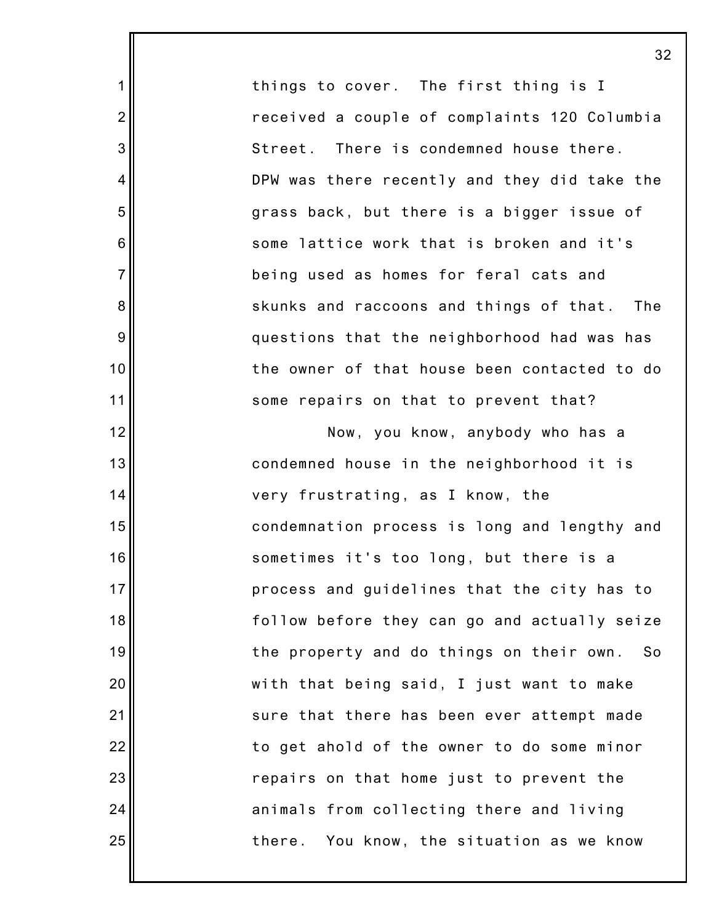things to cover. The first thing is I received a couple of complaints 120 Columbia Street. There is condemned house there. DPW was there recently and they did take the grass back, but there is a bigger issue of some lattice work that is broken and it's being used as homes for feral cats and skunks and raccoons and things of that. The questions that the neighborhood had was has the owner of that house been contacted to do some repairs on that to prevent that?

1

2

3

4

5

6

7

8

9

10

11

12

13

14

15

16

17

18

19

20

21

22

23

24

25

Now, you know, anybody who has a condemned house in the neighborhood it is very frustrating, as I know, the condemnation process is long and lengthy and sometimes it's too long, but there is a process and guidelines that the city has to follow before they can go and actually seize the property and do things on their own. So with that being said, I just want to make sure that there has been ever attempt made to get ahold of the owner to do some minor repairs on that home just to prevent the animals from collecting there and living there. You know, the situation as we know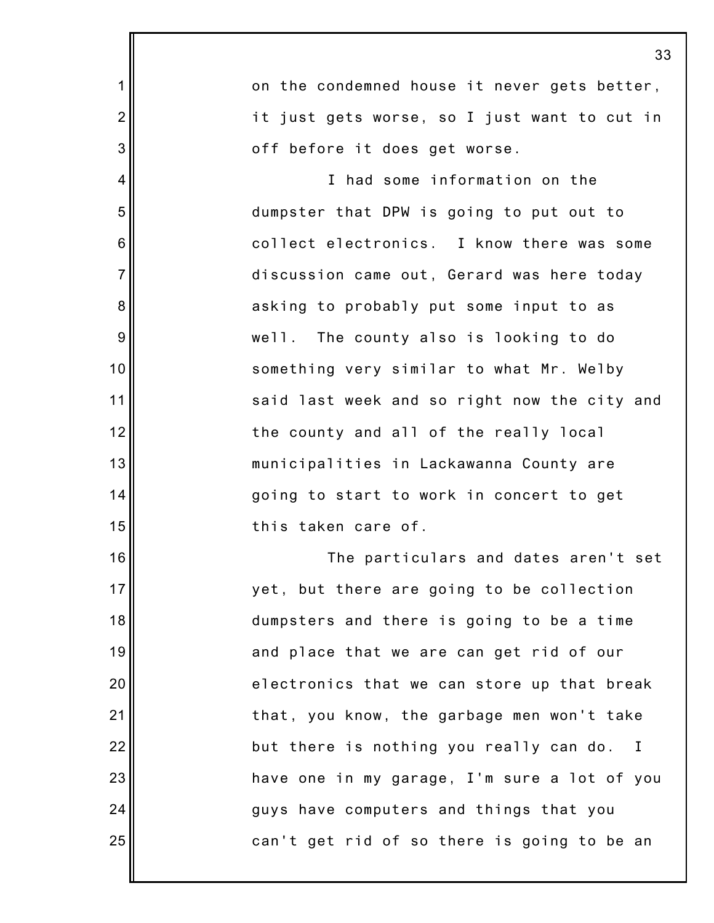|                 | 33                                           |
|-----------------|----------------------------------------------|
| 1               | on the condemned house it never gets better, |
| $\overline{c}$  | it just gets worse, so I just want to cut in |
| 3               | off before it does get worse.                |
| 4               | I had some information on the                |
| 5               | dumpster that DPW is going to put out to     |
| $6\phantom{1}6$ | collect electronics. I know there was some   |
| $\overline{7}$  | discussion came out, Gerard was here today   |
| 8               | asking to probably put some input to as      |
| 9               | well. The county also is looking to do       |
| 10              | something very similar to what Mr. Welby     |
| 11              | said last week and so right now the city and |
| 12              | the county and all of the really local       |
| 13              | municipalities in Lackawanna County are      |
| 14              | going to start to work in concert to get     |
| 15              | this taken care of.                          |
| 16              | The particulars and dates aren't set         |
| 17              | yet, but there are going to be collection    |
| 18              | dumpsters and there is going to be a time    |
| 19              | and place that we are can get rid of our     |
| 20              | electronics that we can store up that break  |
| 21              | that, you know, the garbage men won't take   |
| 22              | but there is nothing you really can do. I    |
| 23              | have one in my garage, I'm sure a lot of you |
| 24              | guys have computers and things that you      |
| 25              | can't get rid of so there is going to be an  |
|                 |                                              |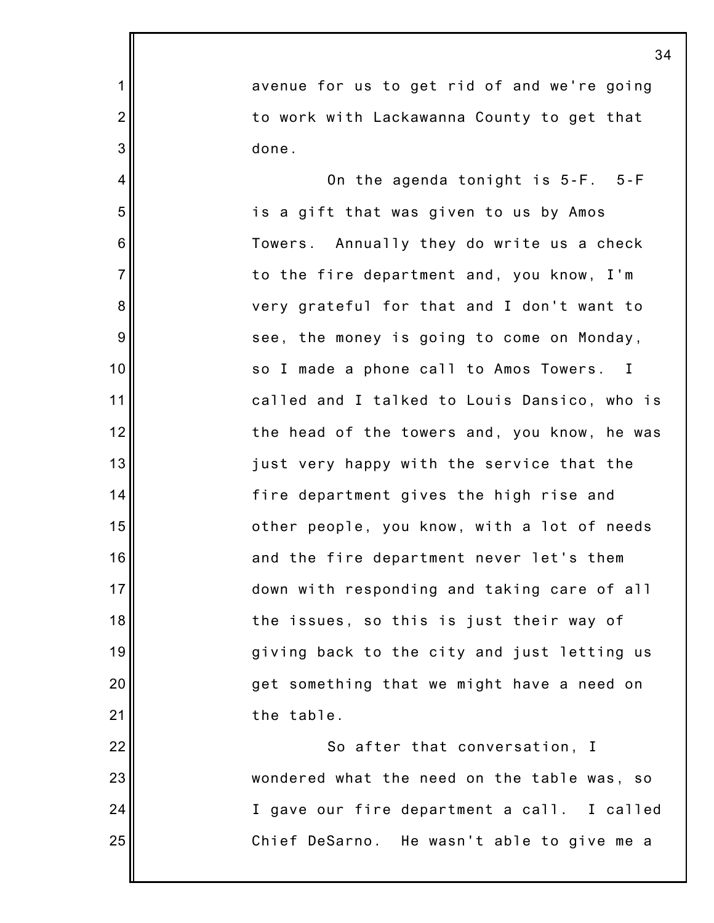avenue for us to get rid of and we're going to work with Lackawanna County to get that done.

1

2

3

4

5

6

7

8

9

10

11

12

13

14

15

16

17

18

19

20

21

On the agenda tonight is 5-F. 5-F is a gift that was given to us by Amos Towers. Annually they do write us a check to the fire department and, you know, I'm very grateful for that and I don't want to see, the money is going to come on Monday, so I made a phone call to Amos Towers. I called and I talked to Louis Dansico, who is the head of the towers and, you know, he was just very happy with the service that the fire department gives the high rise and other people, you know, with a lot of needs and the fire department never let's them down with responding and taking care of all the issues, so this is just their way of giving back to the city and just letting us get something that we might have a need on the table.

22 23 24 25 So after that conversation, I wondered what the need on the table was, so I gave our fire department a call. I called Chief DeSarno. He wasn't able to give me a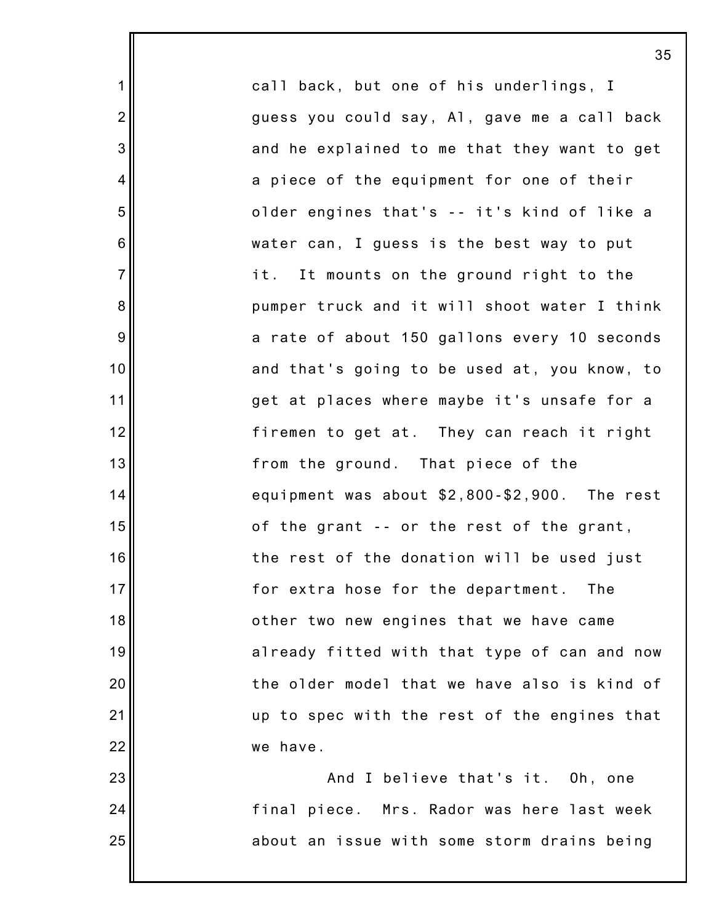call back, but one of his underlings, I guess you could say, Al, gave me a call back and he explained to me that they want to get a piece of the equipment for one of their older engines that's -- it's kind of like a water can, I guess is the best way to put it. It mounts on the ground right to the pumper truck and it will shoot water I think a rate of about 150 gallons every 10 seconds and that's going to be used at, you know, to get at places where maybe it's unsafe for a firemen to get at. They can reach it right from the ground. That piece of the equipment was about \$2,800-\$2,900. The rest of the grant -- or the rest of the grant, the rest of the donation will be used just for extra hose for the department. The other two new engines that we have came already fitted with that type of can and now the older model that we have also is kind of up to spec with the rest of the engines that we have.

1

2

3

4

5

6

7

8

9

10

11

12

13

14

15

16

17

18

19

20

21

22

23

24

25

And I believe that's it. Oh, one final piece. Mrs. Rador was here last week about an issue with some storm drains being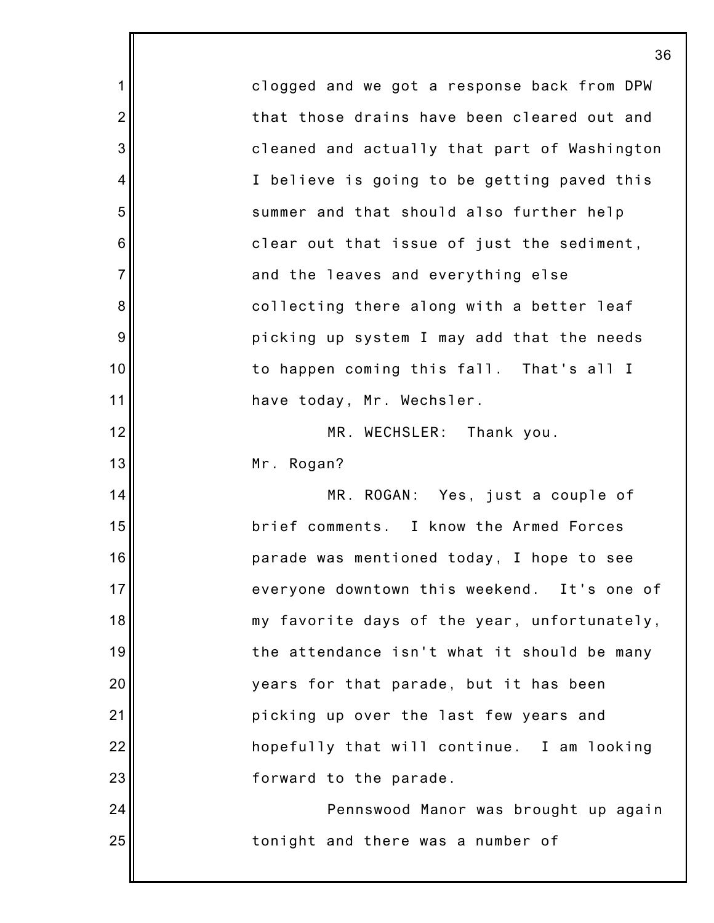1 2 3 4 5 6 7 8 9 10 11 12 13 14 15 16 17 18 19 20 21 22 23 24 25 36 clogged and we got a response back from DPW that those drains have been cleared out and cleaned and actually that part of Washington I believe is going to be getting paved this summer and that should also further help clear out that issue of just the sediment, and the leaves and everything else collecting there along with a better leaf picking up system I may add that the needs to happen coming this fall. That's all I have today, Mr. Wechsler. MR. WECHSLER: Thank you. Mr. Rogan? MR. ROGAN: Yes, just a couple of brief comments. I know the Armed Forces parade was mentioned today, I hope to see everyone downtown this weekend. It's one of my favorite days of the year, unfortunately, the attendance isn't what it should be many years for that parade, but it has been picking up over the last few years and hopefully that will continue. I am looking forward to the parade. Pennswood Manor was brought up again tonight and there was a number of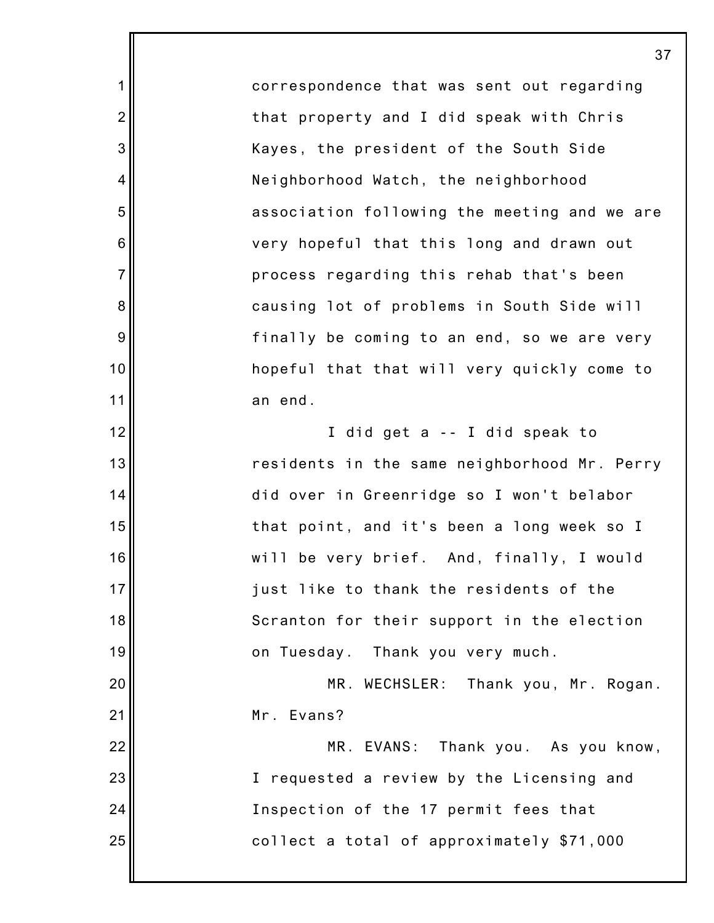correspondence that was sent out regarding that property and I did speak with Chris Kayes, the president of the South Side Neighborhood Watch, the neighborhood association following the meeting and we are very hopeful that this long and drawn out process regarding this rehab that's been causing lot of problems in South Side will finally be coming to an end, so we are very hopeful that that will very quickly come to an end. I did get a -- I did speak to residents in the same neighborhood Mr. Perry did over in Greenridge so I won't belabor that point, and it's been a long week so I will be very brief. And, finally, I would just like to thank the residents of the Scranton for their support in the election on Tuesday. Thank you very much. MR. WECHSLER: Thank you, Mr. Rogan. Mr. Evans? MR. EVANS: Thank you. As you know,

1

2

3

4

5

6

7

8

9

10

11

12

13

14

15

16

17

18

19

20

21

22

23

24

25

I requested a review by the Licensing and Inspection of the 17 permit fees that collect a total of approximately \$71,000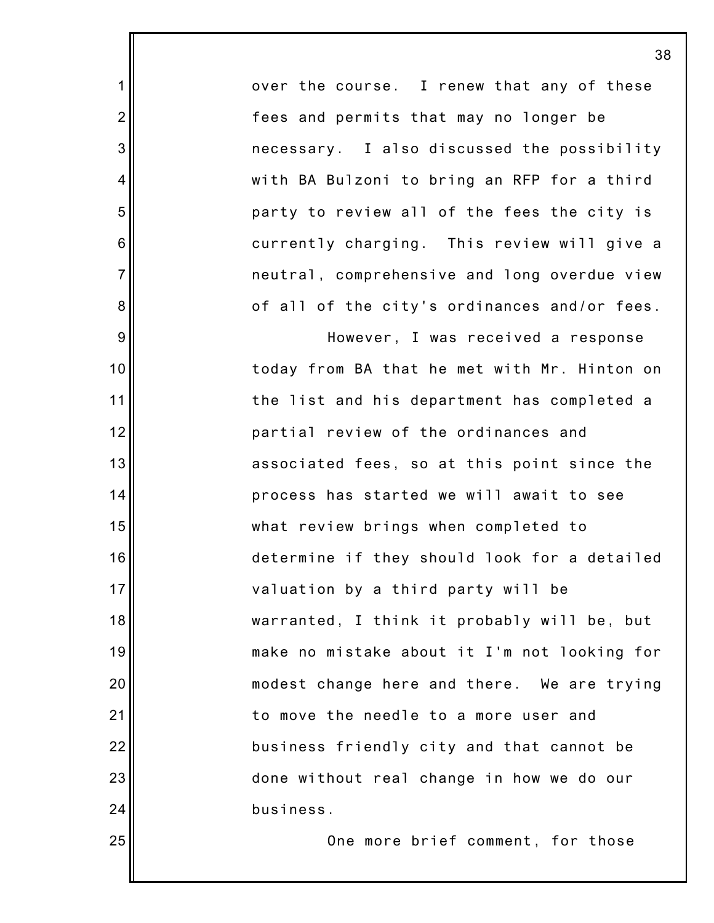over the course. I renew that any of these fees and permits that may no longer be necessary. I also discussed the possibility with BA Bulzoni to bring an RFP for a third party to review all of the fees the city is currently charging. This review will give a neutral, comprehensive and long overdue view of all of the city's ordinances and/or fees.

1

2

3

4

5

6

7

8

9

10

11

12

13

14

15

16

17

18

19

20

21

22

23

24

25

However, I was received a response today from BA that he met with Mr. Hinton on the list and his department has completed a partial review of the ordinances and associated fees, so at this point since the process has started we will await to see what review brings when completed to determine if they should look for a detailed valuation by a third party will be warranted, I think it probably will be, but make no mistake about it I'm not looking for modest change here and there. We are trying to move the needle to a more user and business friendly city and that cannot be done without real change in how we do our business.

One more brief comment, for those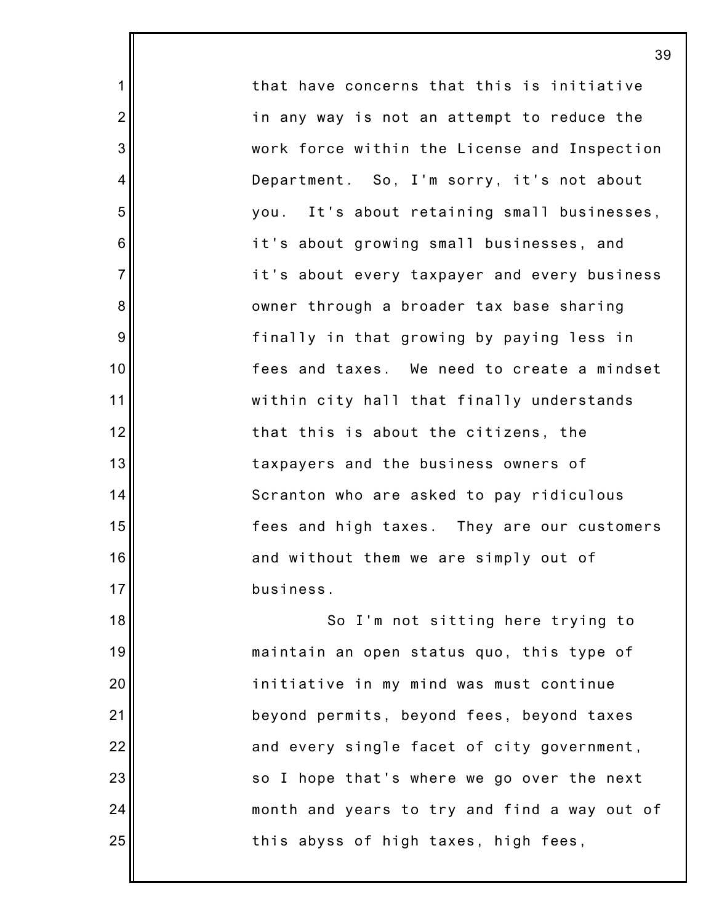that have concerns that this is initiative in any way is not an attempt to reduce the work force within the License and Inspection Department. So, I'm sorry, it's not about you. It's about retaining small businesses, it's about growing small businesses, and it's about every taxpayer and every business owner through a broader tax base sharing finally in that growing by paying less in fees and taxes. We need to create a mindset within city hall that finally understands that this is about the citizens, the taxpayers and the business owners of Scranton who are asked to pay ridiculous fees and high taxes. They are our customers and without them we are simply out of business. So I'm not sitting here trying to

1

2

3

4

5

6

7

8

9

10

11

12

13

14

15

16

17

18

19

20

21

22

23

24

25

maintain an open status quo, this type of initiative in my mind was must continue beyond permits, beyond fees, beyond taxes and every single facet of city government, so I hope that's where we go over the next month and years to try and find a way out of this abyss of high taxes, high fees,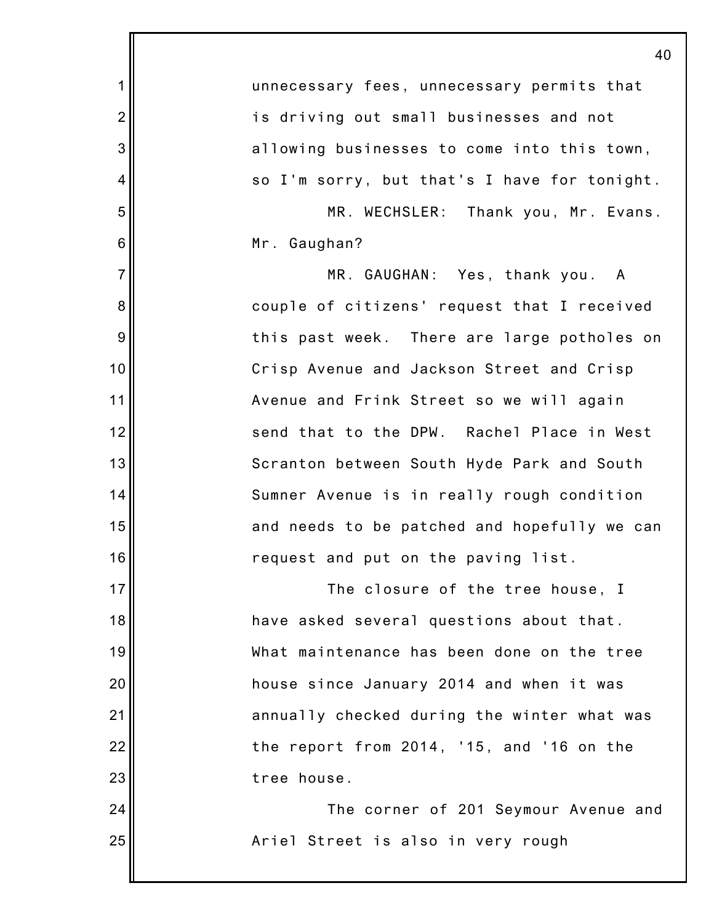|                | 40                                           |
|----------------|----------------------------------------------|
| 1              | unnecessary fees, unnecessary permits that   |
| $\overline{2}$ | is driving out small businesses and not      |
| 3              | allowing businesses to come into this town,  |
| 4              | so I'm sorry, but that's I have for tonight. |
| 5              | MR. WECHSLER: Thank you, Mr. Evans.          |
| 6              | Mr. Gaughan?                                 |
| $\overline{7}$ | MR. GAUGHAN: Yes, thank you. A               |
| 8              | couple of citizens' request that I received  |
| 9              | this past week. There are large potholes on  |
| 10             | Crisp Avenue and Jackson Street and Crisp    |
| 11             | Avenue and Frink Street so we will again     |
| 12             | send that to the DPW. Rachel Place in West   |
| 13             | Scranton between South Hyde Park and South   |
| 14             | Sumner Avenue is in really rough condition   |
| 15             | and needs to be patched and hopefully we can |
| 16             | request and put on the paving list.          |
| 17             | The closure of the tree house, I             |
| 18             | have asked several questions about that.     |
| 19             | What maintenance has been done on the tree   |
| 20             | house since January 2014 and when it was     |
| 21             | annually checked during the winter what was  |
| 22             | the report from 2014, '15, and '16 on the    |
| 23             | tree house.                                  |
| 24             | The corner of 201 Seymour Avenue and         |
| 25             | Ariel Street is also in very rough           |
|                |                                              |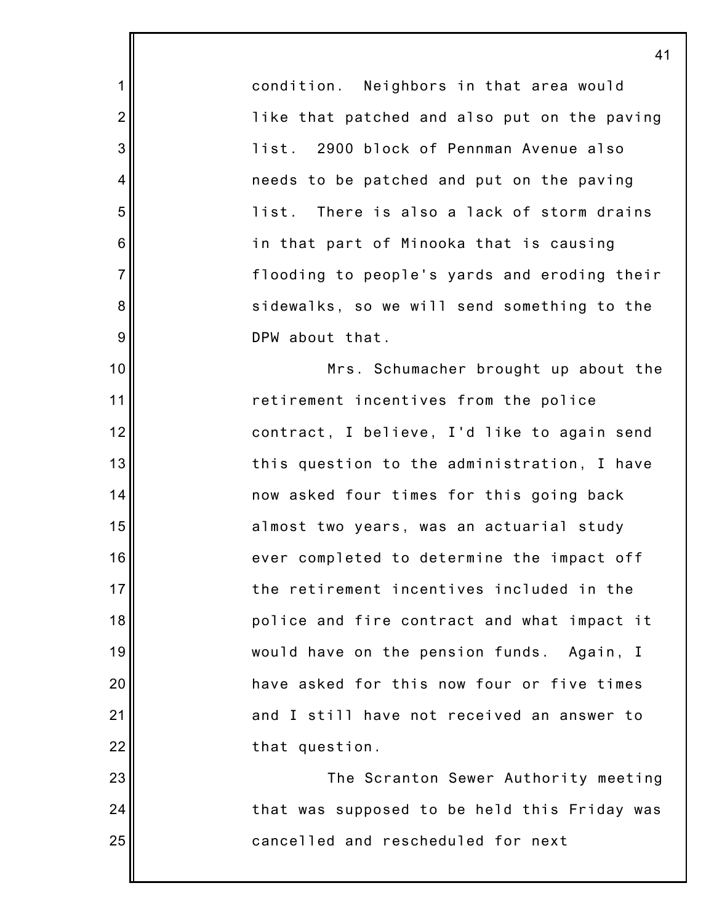condition. Neighbors in that area would like that patched and also put on the paving list. 2900 block of Pennman Avenue also needs to be patched and put on the paving list. There is also a lack of storm drains in that part of Minooka that is causing flooding to people's yards and eroding their sidewalks, so we will send something to the DPW about that.

1

2

3

4

5

6

7

8

9

10

11

12

13

14

15

16

17

18

19

20

21

22

23

24

25

Mrs. Schumacher brought up about the retirement incentives from the police contract, I believe, I'd like to again send this question to the administration, I have now asked four times for this going back almost two years, was an actuarial study ever completed to determine the impact off the retirement incentives included in the police and fire contract and what impact it would have on the pension funds. Again, I have asked for this now four or five times and I still have not received an answer to that question.

The Scranton Sewer Authority meeting that was supposed to be held this Friday was cancelled and rescheduled for next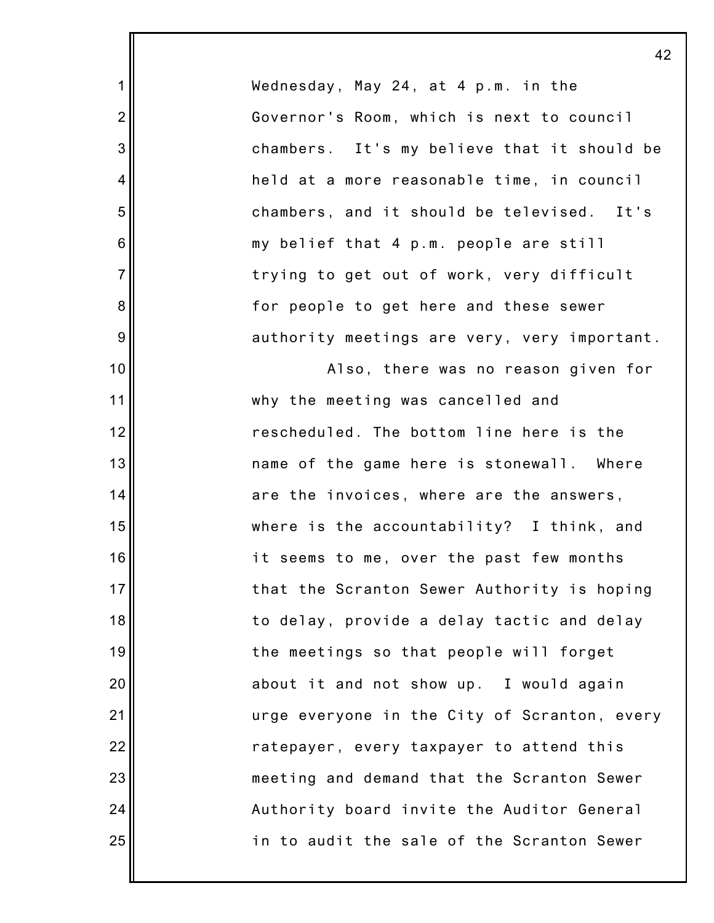Wednesday, May 24, at 4 p.m. in the Governor's Room, which is next to council chambers. It's my believe that it should be held at a more reasonable time, in council chambers, and it should be televised. It's my belief that 4 p.m. people are still trying to get out of work, very difficult for people to get here and these sewer authority meetings are very, very important.

1

2

3

4

5

6

7

8

9

10

11

12

13

14

15

16

17

18

19

20

21

22

23

24

25

Also, there was no reason given for why the meeting was cancelled and rescheduled. The bottom line here is the name of the game here is stonewall. Where are the invoices, where are the answers, where is the accountability? I think, and it seems to me, over the past few months that the Scranton Sewer Authority is hoping to delay, provide a delay tactic and delay the meetings so that people will forget about it and not show up. I would again urge everyone in the City of Scranton, every ratepayer, every taxpayer to attend this meeting and demand that the Scranton Sewer Authority board invite the Auditor General in to audit the sale of the Scranton Sewer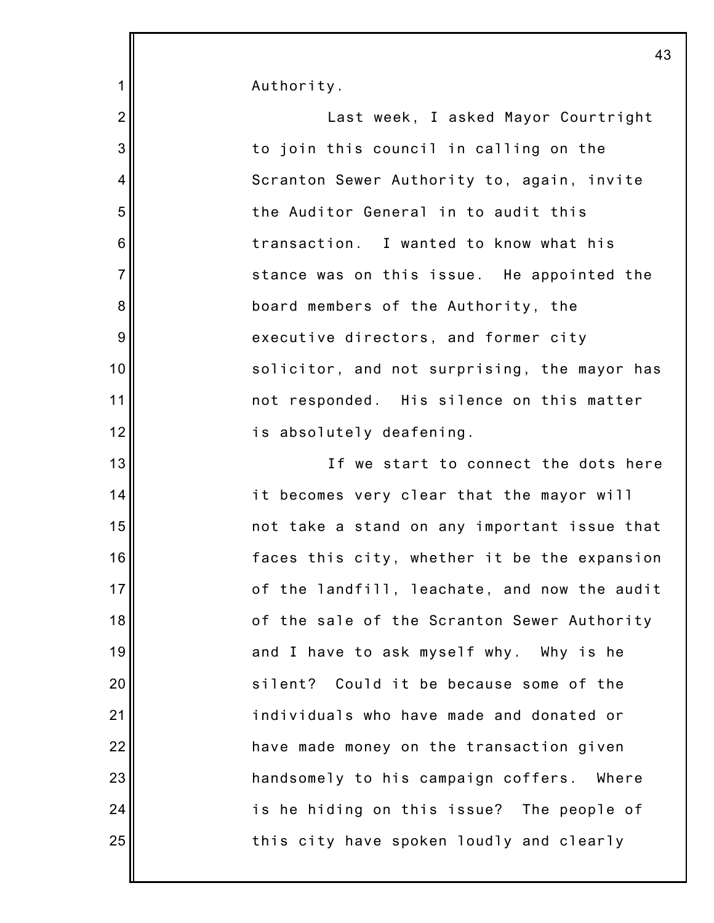Authority.

1

11

24

25

2 3 4 5 6 7 8 9 10 12 13 14 15 16 17 18 19 20 21 22 23 Last week, I asked Mayor Courtright to join this council in calling on the Scranton Sewer Authority to, again, invite the Auditor General in to audit this transaction. I wanted to know what his stance was on this issue. He appointed the board members of the Authority, the executive directors, and former city solicitor, and not surprising, the mayor has not responded. His silence on this matter is absolutely deafening. If we start to connect the dots here it becomes very clear that the mayor will not take a stand on any important issue that faces this city, whether it be the expansion of the landfill, leachate, and now the audit of the sale of the Scranton Sewer Authority and I have to ask myself why. Why is he silent? Could it be because some of the individuals who have made and donated or have made money on the transaction given handsomely to his campaign coffers. Where

this city have spoken loudly and clearly

is he hiding on this issue? The people of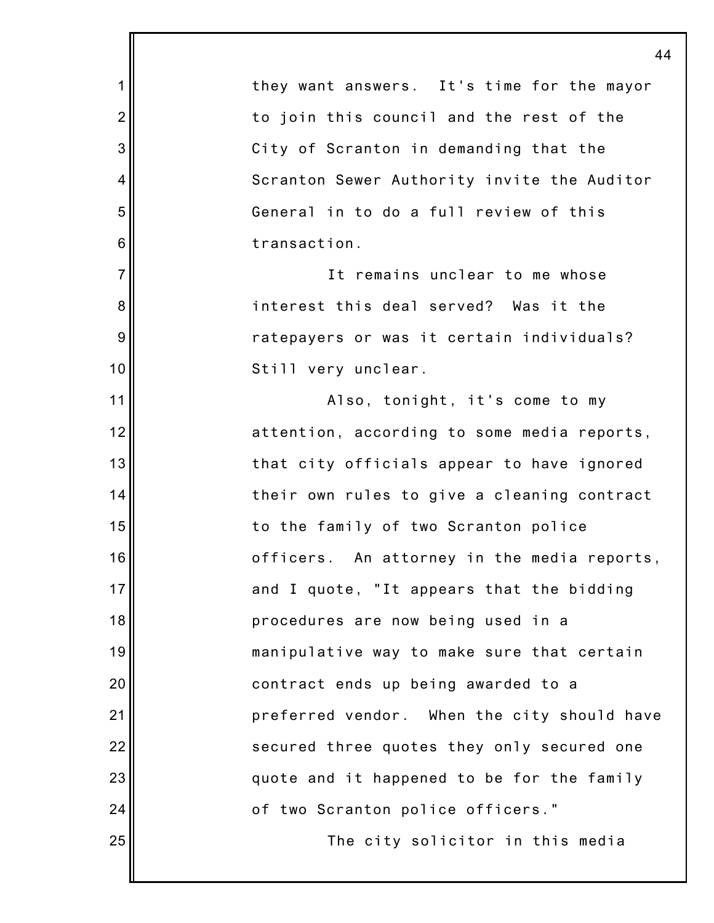|                  | 44                                          |
|------------------|---------------------------------------------|
| $\mathbf 1$      | they want answers. It's time for the mayor  |
| $\overline{2}$   | to join this council and the rest of the    |
| $\mathbf{3}$     | City of Scranton in demanding that the      |
| $\overline{4}$   | Scranton Sewer Authority invite the Auditor |
| 5                | General in to do a full review of this      |
| $6\phantom{1}6$  | transaction.                                |
| $\overline{7}$   | It remains unclear to me whose              |
| $\bf 8$          | interest this deal served? Was it the       |
| $\boldsymbol{9}$ | ratepayers or was it certain individuals?   |
| 10               | Still very unclear.                         |
| 11               | Also, tonight, it's come to my              |
| 12               | attention, according to some media reports, |
| 13               | that city officials appear to have ignored  |
| 14               | their own rules to give a cleaning contract |
| 15               | to the family of two Scranton police        |
| 16               | officers. An attorney in the media reports, |
| 17               | and I quote, "It appears that the bidding   |
| 18               | procedures are now being used in a          |
| 19               | manipulative way to make sure that certain  |
| 20               | contract ends up being awarded to a         |
| 21               | preferred vendor. When the city should have |
| 22               | secured three quotes they only secured one  |
| 23               | quote and it happened to be for the family  |
| 24               | of two Scranton police officers."           |
| 25               | The city solicitor in this media            |
|                  |                                             |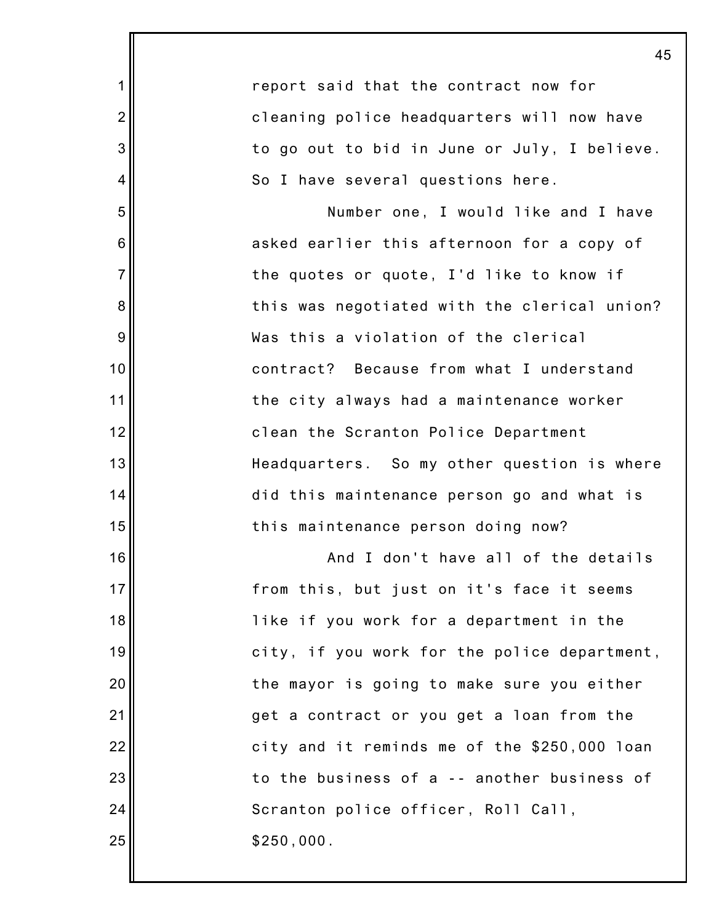1 2 3 4 5 6 7 8 9 10 11 12 13 14 15 16 17 18 19 20 21 22 23 24 25 report said that the contract now for cleaning police headquarters will now have to go out to bid in June or July, I believe. So I have several questions here. Number one, I would like and I have asked earlier this afternoon for a copy of the quotes or quote, I'd like to know if this was negotiated with the clerical union? Was this a violation of the clerical contract? Because from what I understand the city always had a maintenance worker clean the Scranton Police Department Headquarters. So my other question is where did this maintenance person go and what is this maintenance person doing now? And I don't have all of the details from this, but just on it's face it seems like if you work for a department in the city, if you work for the police department, the mayor is going to make sure you either get a contract or you get a loan from the city and it reminds me of the \$250,000 loan to the business of a -- another business of Scranton police officer, Roll Call, \$250,000.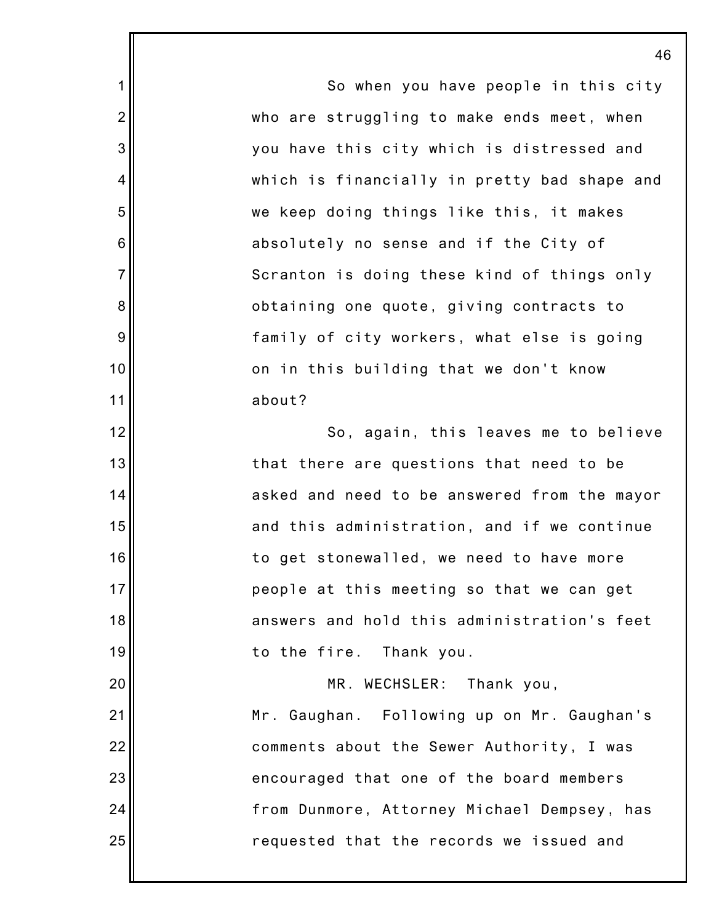So when you have people in this city who are struggling to make ends meet, when you have this city which is distressed and which is financially in pretty bad shape and we keep doing things like this, it makes absolutely no sense and if the City of Scranton is doing these kind of things only obtaining one quote, giving contracts to family of city workers, what else is going on in this building that we don't know about? So, again, this leaves me to believe that there are questions that need to be asked and need to be answered from the mayor and this administration, and if we continue to get stonewalled, we need to have more people at this meeting so that we can get answers and hold this administration's feet to the fire. Thank you.

1

2

3

4

5

6

7

8

9

10

11

12

13

14

15

16

17

18

19

20 21 22 23 24 25 MR. WECHSLER: Thank you, Mr. Gaughan. Following up on Mr. Gaughan's comments about the Sewer Authority, I was encouraged that one of the board members from Dunmore, Attorney Michael Dempsey, has requested that the records we issued and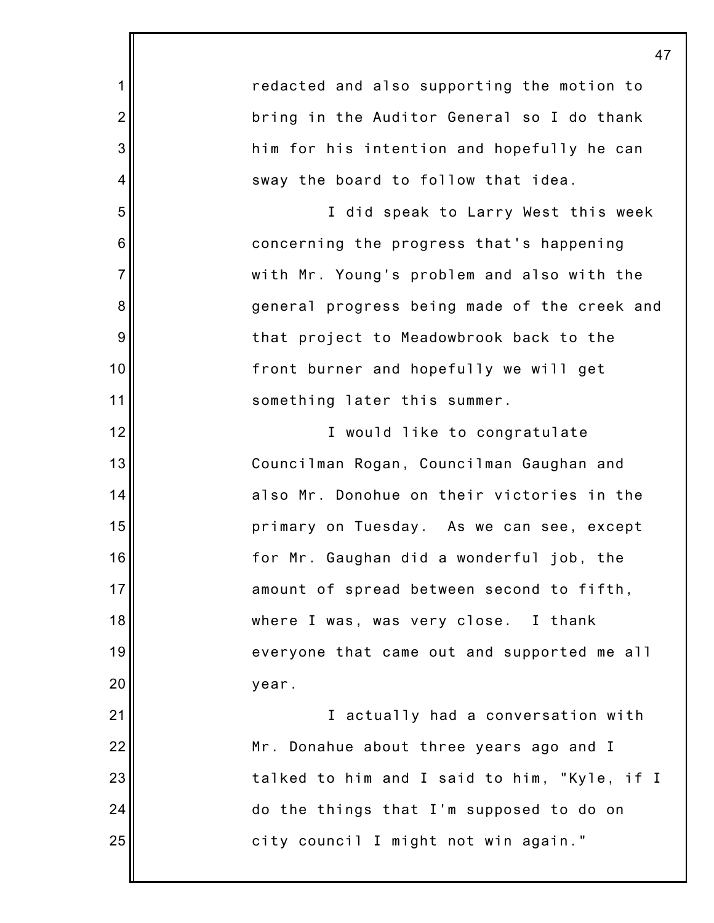1 2 3 4 5 6 7 8 9 10 11 12 13 14 15 16 17 18 19 20 21 22 23 24 25 redacted and also supporting the motion to bring in the Auditor General so I do thank him for his intention and hopefully he can sway the board to follow that idea. I did speak to Larry West this week concerning the progress that's happening with Mr. Young's problem and also with the general progress being made of the creek and that project to Meadowbrook back to the front burner and hopefully we will get something later this summer. I would like to congratulate Councilman Rogan, Councilman Gaughan and also Mr. Donohue on their victories in the primary on Tuesday. As we can see, except for Mr. Gaughan did a wonderful job, the amount of spread between second to fifth, where I was, was very close. I thank everyone that came out and supported me all year. I actually had a conversation with Mr. Donahue about three years ago and I talked to him and I said to him, "Kyle, if I do the things that I'm supposed to do on city council I might not win again."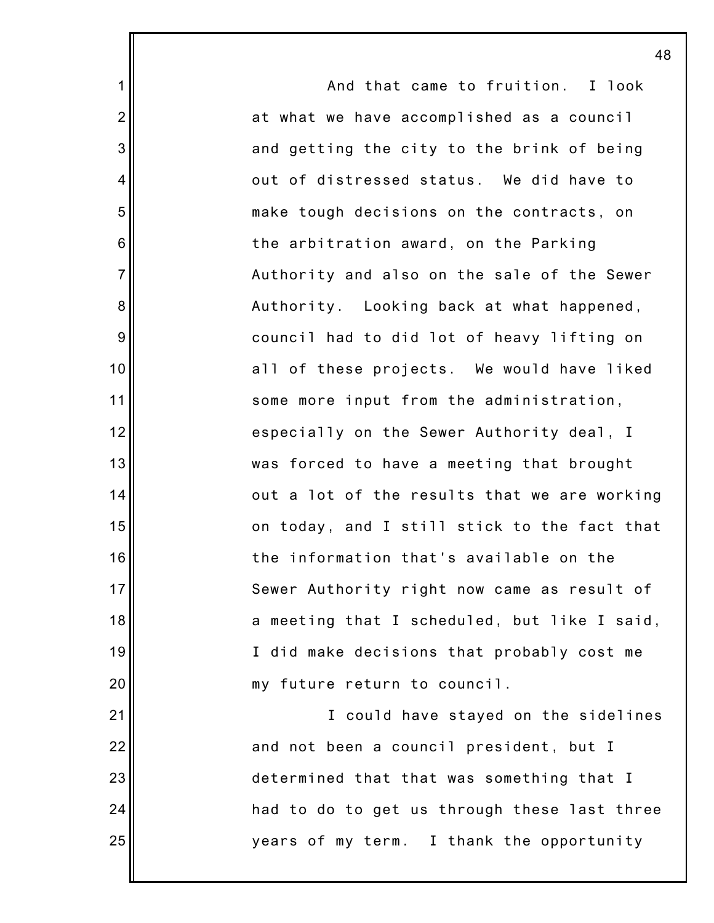And that came to fruition. I look at what we have accomplished as a council and getting the city to the brink of being out of distressed status. We did have to make tough decisions on the contracts, on the arbitration award, on the Parking Authority and also on the sale of the Sewer Authority. Looking back at what happened, council had to did lot of heavy lifting on all of these projects. We would have liked some more input from the administration, especially on the Sewer Authority deal, I was forced to have a meeting that brought out a lot of the results that we are working on today, and I still stick to the fact that the information that's available on the Sewer Authority right now came as result of a meeting that I scheduled, but like I said, I did make decisions that probably cost me my future return to council. I could have stayed on the sidelines and not been a council president, but I determined that that was something that I had to do to get us through these last three years of my term. I thank the opportunity

1

2

3

4

5

6

7

8

9

10

11

12

13

14

15

16

17

18

19

20

21

22

23

24

25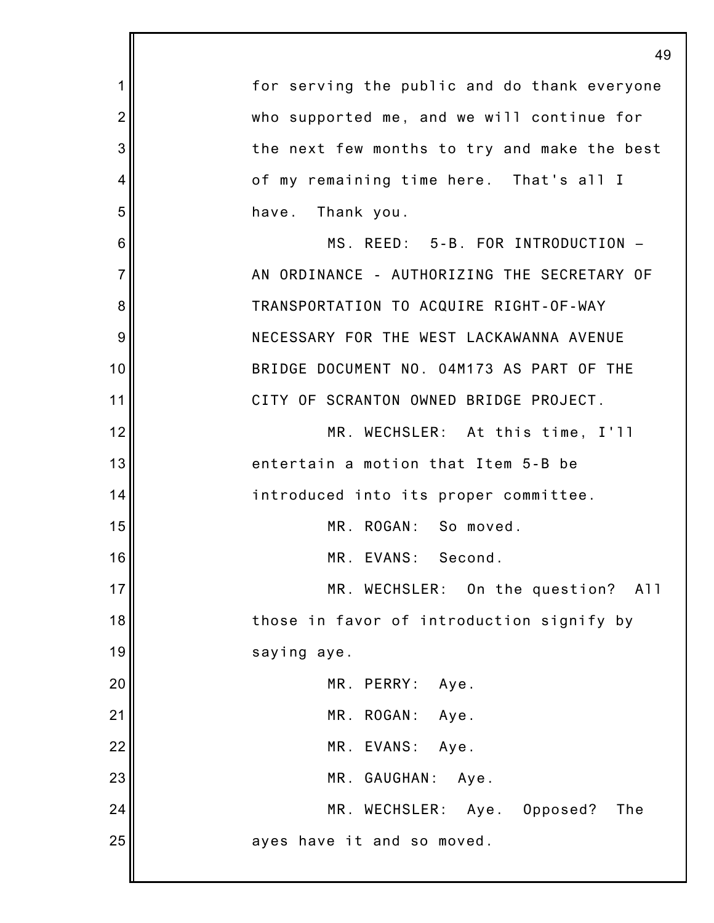|                | 49                                           |
|----------------|----------------------------------------------|
| 1              | for serving the public and do thank everyone |
| $\overline{2}$ | who supported me, and we will continue for   |
| 3              | the next few months to try and make the best |
| 4              | of my remaining time here. That's all I      |
| 5              | Thank you.<br>have.                          |
| 6              | MS. REED: 5-B. FOR INTRODUCTION -            |
| $\overline{7}$ | AN ORDINANCE - AUTHORIZING THE SECRETARY OF  |
| 8              | TRANSPORTATION TO ACQUIRE RIGHT-OF-WAY       |
| 9              | NECESSARY FOR THE WEST LACKAWANNA AVENUE     |
| 10             | BRIDGE DOCUMENT NO. 04M173 AS PART OF THE    |
| 11             | CITY OF SCRANTON OWNED BRIDGE PROJECT.       |
| 12             | MR. WECHSLER: At this time, I'll             |
| 13             | entertain a motion that Item 5-B be          |
| 14             | introduced into its proper committee.        |
| 15             | MR. ROGAN: So moved.                         |
| 16             | MR. EVANS:<br>Second.                        |
| 17             | MR. WECHSLER: On the question? All           |
| 18             | those in favor of introduction signify by    |
| 19             | saying aye.                                  |
| 20             | MR. PERRY:<br>Aye.                           |
| 21             | MR. ROGAN: Aye.                              |
| 22             | MR. EVANS: Aye.                              |
| 23             | MR. GAUGHAN: Aye.                            |
| 24             | MR. WECHSLER: Aye. Opposed?<br>The           |
| 25             | ayes have it and so moved.                   |
|                |                                              |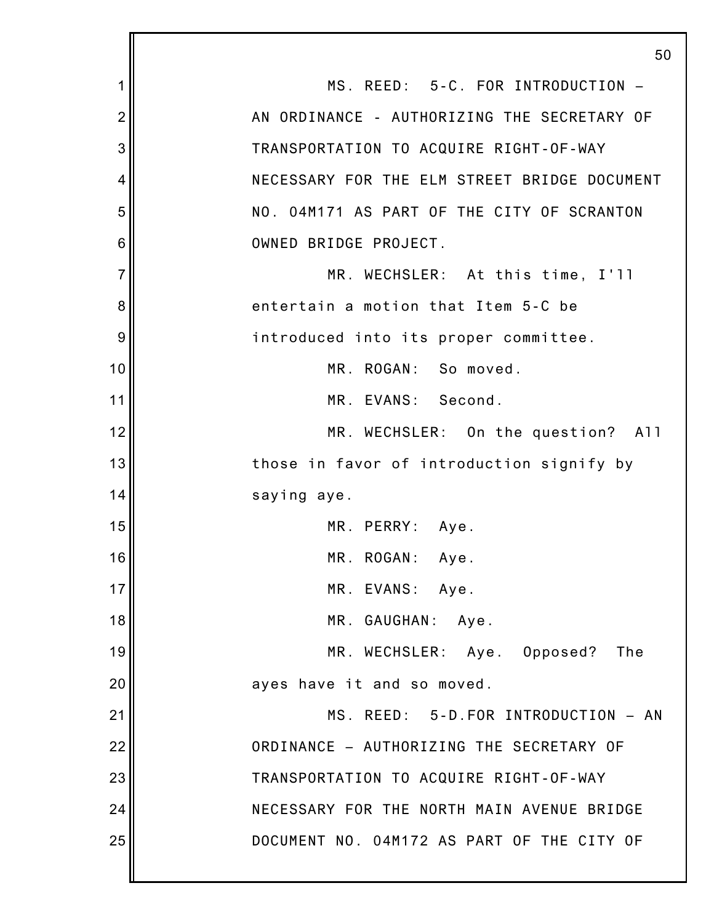1 2 3 4 5 6 7 8 9 10 11 12 13 14 15 16 17 18 19 20 21 22 23 24 25 50 MS. REED: 5-C. FOR INTRODUCTION – AN ORDINANCE - AUTHORIZING THE SECRETARY OF TRANSPORTATION TO ACQUIRE RIGHT-OF-WAY NECESSARY FOR THE ELM STREET BRIDGE DOCUMENT NO. 04M171 AS PART OF THE CITY OF SCRANTON OWNED BRIDGE PROJECT. MR. WECHSLER: At this time, I'll entertain a motion that Item 5-C be introduced into its proper committee. MR. ROGAN: So moved. MR. EVANS: Second. MR. WECHSLER: On the question? All those in favor of introduction signify by saying aye. MR. PERRY: Aye. MR. ROGAN: Aye. MR. EVANS: Aye. MR. GAUGHAN: Aye. MR. WECHSLER: Aye. Opposed? The ayes have it and so moved. MS. REED: 5-D.FOR INTRODUCTION – AN ORDINANCE – AUTHORIZING THE SECRETARY OF TRANSPORTATION TO ACQUIRE RIGHT-OF-WAY NECESSARY FOR THE NORTH MAIN AVENUE BRIDGE DOCUMENT NO. 04M172 AS PART OF THE CITY OF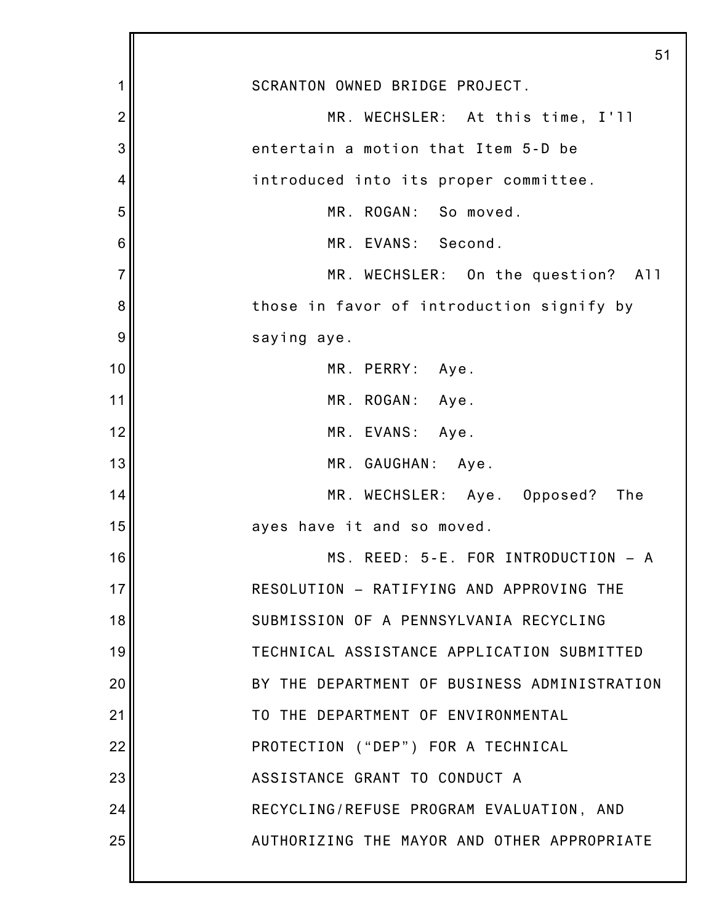|                | 51                                           |
|----------------|----------------------------------------------|
| 1              | SCRANTON OWNED BRIDGE PROJECT.               |
| $\overline{2}$ | MR. WECHSLER: At this time, I'll             |
| 3              | entertain a motion that Item 5-D be          |
| 4              | introduced into its proper committee.        |
| 5              | MR. ROGAN: So moved.                         |
| 6              | MR. EVANS: Second.                           |
| $\overline{7}$ | MR. WECHSLER: On the question? All           |
| 8              | those in favor of introduction signify by    |
| 9              | saying aye.                                  |
| 10             | MR. PERRY: Aye.                              |
| 11             | MR. ROGAN: Aye.                              |
| 12             | MR. EVANS: Aye.                              |
| 13             | MR. GAUGHAN: Aye.                            |
| 14             | MR. WECHSLER: Aye. Opposed? The              |
| 15             | ayes have it and so moved.                   |
| 16             | MS. REED: 5-E. FOR INTRODUCTION - A          |
| 17             | RESOLUTION - RATIFYING AND APPROVING THE     |
| 18             | SUBMISSION OF A PENNSYLVANIA RECYCLING       |
| 19             | TECHNICAL ASSISTANCE APPLICATION SUBMITTED   |
| 20             | BY THE DEPARTMENT OF BUSINESS ADMINISTRATION |
| 21             | TO THE DEPARTMENT OF ENVIRONMENTAL           |
| 22             | PROTECTION ("DEP") FOR A TECHNICAL           |
| 23             | ASSISTANCE GRANT TO CONDUCT A                |
| 24             | RECYCLING/REFUSE PROGRAM EVALUATION, AND     |
| 25             | AUTHORIZING THE MAYOR AND OTHER APPROPRIATE  |
|                |                                              |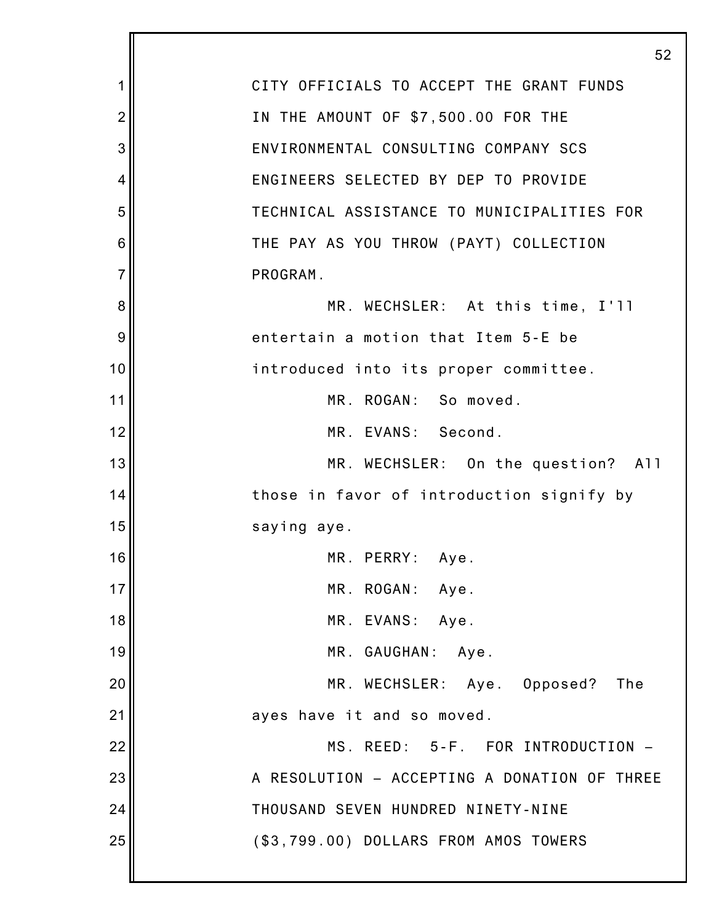|                | 52                                           |
|----------------|----------------------------------------------|
| 1              | CITY OFFICIALS TO ACCEPT THE GRANT FUNDS     |
| $\overline{2}$ | IN THE AMOUNT OF \$7,500.00 FOR THE          |
| 3              | ENVIRONMENTAL CONSULTING COMPANY SCS         |
| 4              | ENGINEERS SELECTED BY DEP TO PROVIDE         |
| 5              | TECHNICAL ASSISTANCE TO MUNICIPALITIES FOR   |
| 6              | THE PAY AS YOU THROW (PAYT) COLLECTION       |
| $\overline{7}$ | PROGRAM.                                     |
| 8              | MR. WECHSLER: At this time, I'll             |
| 9              | entertain a motion that Item 5-E be          |
| 10             | introduced into its proper committee.        |
| 11             | MR. ROGAN: So moved.                         |
| 12             | MR. EVANS: Second.                           |
| 13             | MR. WECHSLER: On the question? All           |
| 14             | those in favor of introduction signify by    |
| 15             | saying aye.                                  |
| 16             | MR. PERRY: Aye.                              |
| 17             | MR. ROGAN: Aye.                              |
| 18             | MR. EVANS: Aye.                              |
| 19             | MR. GAUGHAN: Aye.                            |
| 20             | MR. WECHSLER: Aye. Opposed? The              |
| 21             | ayes have it and so moved.                   |
| 22             | MS. REED: 5-F. FOR INTRODUCTION -            |
| 23             | A RESOLUTION - ACCEPTING A DONATION OF THREE |
| 24             | THOUSAND SEVEN HUNDRED NINETY-NINE           |
| 25             | (\$3,799.00) DOLLARS FROM AMOS TOWERS        |
|                |                                              |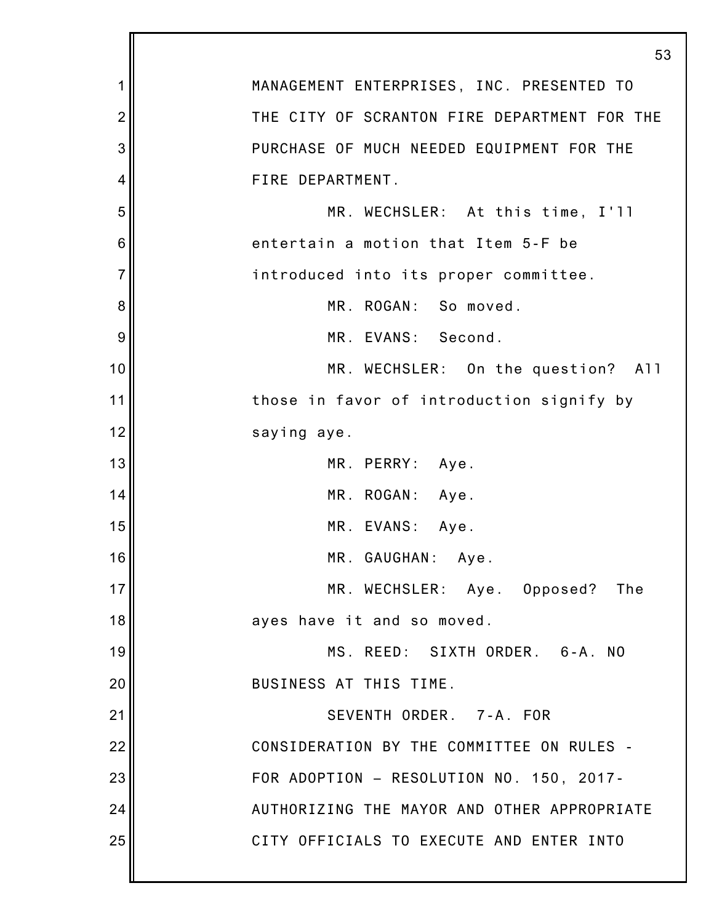|                | 53                                           |
|----------------|----------------------------------------------|
| 1              | MANAGEMENT ENTERPRISES, INC. PRESENTED TO    |
| $\overline{2}$ | THE CITY OF SCRANTON FIRE DEPARTMENT FOR THE |
| 3              | PURCHASE OF MUCH NEEDED EQUIPMENT FOR THE    |
| 4              | FIRE DEPARTMENT.                             |
| 5              | MR. WECHSLER: At this time, I'll             |
| 6              | entertain a motion that Item 5-F be          |
| $\overline{7}$ | introduced into its proper committee.        |
| 8              | MR. ROGAN: So moved.                         |
| 9              | MR. EVANS: Second.                           |
| 10             | MR. WECHSLER: On the question? All           |
| 11             | those in favor of introduction signify by    |
| 12             | saying aye.                                  |
| 13             | MR. PERRY: Aye.                              |
| 14             | MR. ROGAN: Aye.                              |
| 15             | MR. EVANS: Aye.                              |
| 16             | MR. GAUGHAN: Aye.                            |
| 17             | MR. WECHSLER: Aye. Opposed? The              |
| 18             | ayes have it and so moved.                   |
| 19             | MS. REED: SIXTH ORDER. 6-A. NO               |
| 20             | BUSINESS AT THIS TIME.                       |
| 21             | SEVENTH ORDER. 7-A. FOR                      |
| 22             | CONSIDERATION BY THE COMMITTEE ON RULES -    |
| 23             | FOR ADOPTION - RESOLUTION NO. 150, 2017-     |
| 24             | AUTHORIZING THE MAYOR AND OTHER APPROPRIATE  |
| 25             | CITY OFFICIALS TO EXECUTE AND ENTER INTO     |
|                |                                              |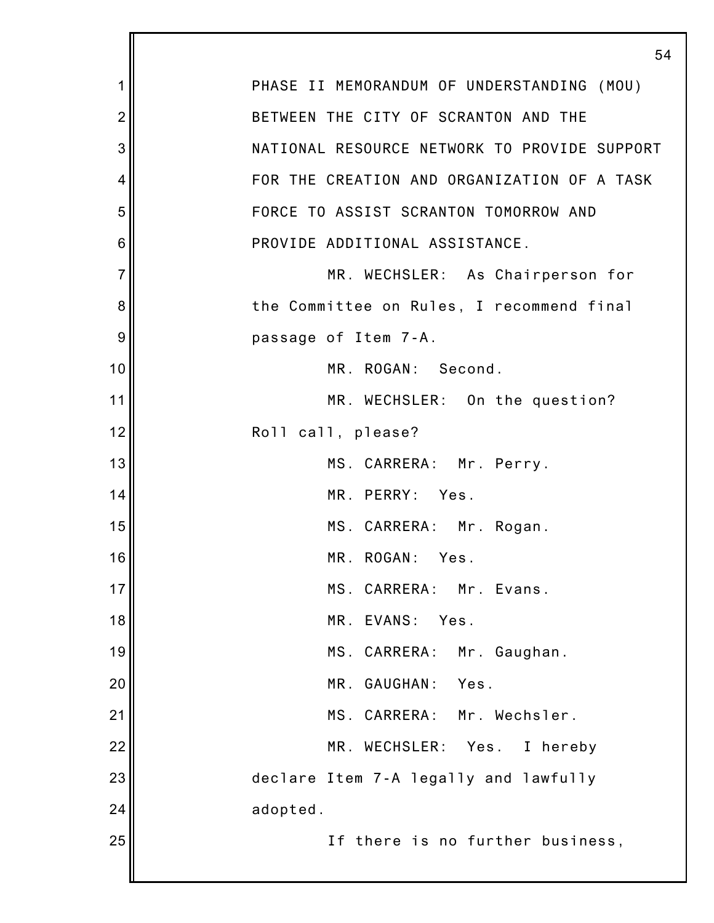|                | 54                                           |
|----------------|----------------------------------------------|
| 1              | PHASE II MEMORANDUM OF UNDERSTANDING (MOU)   |
| $\overline{2}$ | BETWEEN THE CITY OF SCRANTON AND THE         |
| 3              | NATIONAL RESOURCE NETWORK TO PROVIDE SUPPORT |
| 4              | FOR THE CREATION AND ORGANIZATION OF A TASK  |
| 5              | FORCE TO ASSIST SCRANTON TOMORROW AND        |
| 6              | PROVIDE ADDITIONAL ASSISTANCE.               |
| $\overline{7}$ | MR. WECHSLER: As Chairperson for             |
| 8              | the Committee on Rules, I recommend final    |
| 9              | passage of Item 7-A.                         |
| 10             | MR. ROGAN: Second.                           |
| 11             | MR. WECHSLER: On the question?               |
| 12             | Roll call, please?                           |
| 13             | MS. CARRERA: Mr. Perry.                      |
| 14             | MR. PERRY: Yes.                              |
| 15             | MS. CARRERA: Mr. Rogan.                      |
| 16             | MR. ROGAN:<br>Yes.                           |
| 17             | MS. CARRERA: Mr. Evans.                      |
| 18             | MR.<br>EVANS:<br>Yes.                        |
| 19             | MS. CARRERA:<br>Mr. Gaughan.                 |
| 20             | GAUGHAN:<br>Yes.<br>MR.                      |
| 21             | MS. CARRERA: Mr. Wechsler.                   |
| 22             | MR. WECHSLER: Yes.<br>I hereby               |
| 23             | declare Item 7-A legally and lawfully        |
| 24             | adopted.                                     |
| 25             | If there is no further business,             |
|                |                                              |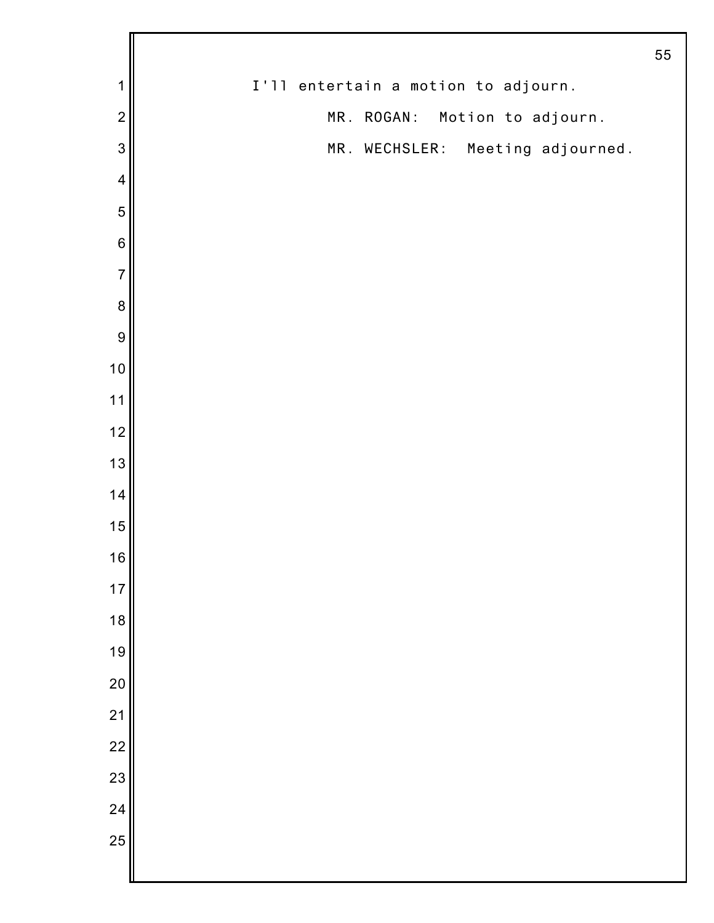|                         |                                     | 55 |
|-------------------------|-------------------------------------|----|
| 1                       | I'll entertain a motion to adjourn. |    |
| $\overline{2}$          | MR. ROGAN: Motion to adjourn.       |    |
| $\mathbf{3}$            | MR. WECHSLER:<br>Meeting adjourned. |    |
| $\overline{\mathbf{4}}$ |                                     |    |
| 5                       |                                     |    |
| $\,$ 6 $\,$             |                                     |    |
| $\overline{7}$          |                                     |    |
| $\bf 8$                 |                                     |    |
| $\boldsymbol{9}$        |                                     |    |
| 10                      |                                     |    |
| $11$                    |                                     |    |
| 12                      |                                     |    |
| 13                      |                                     |    |
| 14                      |                                     |    |
| 15                      |                                     |    |
| 16                      |                                     |    |
| $17$                    |                                     |    |
| 18                      |                                     |    |
| 19                      |                                     |    |
| 20                      |                                     |    |
| 21                      |                                     |    |
| $\overline{22}$         |                                     |    |
| 23                      |                                     |    |
| 24                      |                                     |    |
| 25                      |                                     |    |
|                         |                                     |    |